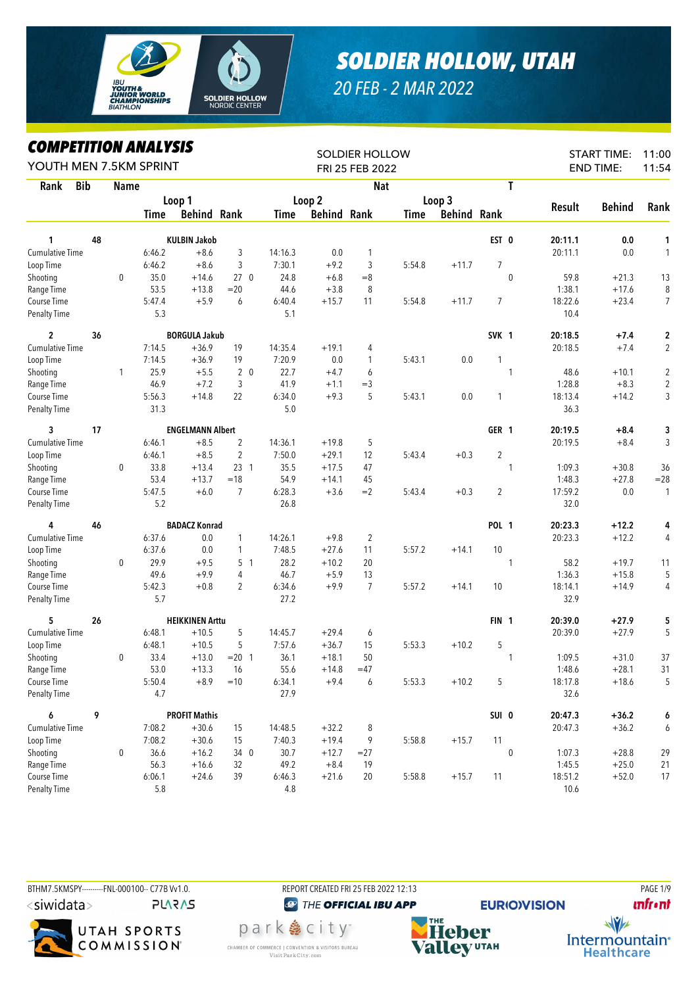

## *SOLDIER HOLLOW, UTAH*

## *20 FEB - 2 MAR 2022*

*COMPETITION ANALYSIS*

| LUMPEIIIIUN ANALIƏIS<br>YOUTH MEN 7.5KM SPRINT<br><b>Bib</b><br>Rank<br><b>Name</b> |    |              |         |                         |                 |         |                    | <b>SOLDIER HOLLOW</b><br>FRI 25 FEB 2022 |        |                    | <b>START TIME:</b><br><b>END TIME:</b> | 11:00<br>11:54 |         |               |                |
|-------------------------------------------------------------------------------------|----|--------------|---------|-------------------------|-----------------|---------|--------------------|------------------------------------------|--------|--------------------|----------------------------------------|----------------|---------|---------------|----------------|
|                                                                                     |    |              |         |                         |                 |         |                    | <b>Nat</b>                               |        |                    |                                        | T              |         |               |                |
|                                                                                     |    |              |         | Loop 1                  |                 |         | Loop 2             |                                          |        | Loop 3             |                                        |                |         |               |                |
|                                                                                     |    |              | Time    | <b>Behind Rank</b>      |                 | Time    | <b>Behind Rank</b> |                                          | Time   | <b>Behind Rank</b> |                                        |                | Result  | <b>Behind</b> | Rank           |
| 1                                                                                   | 48 |              |         | <b>KULBIN Jakob</b>     |                 |         |                    |                                          |        |                    | EST 0                                  |                | 20:11.1 | 0.0           | 1              |
| <b>Cumulative Time</b>                                                              |    |              | 6:46.2  | $+8.6$                  | 3               | 14:16.3 | 0.0                | 1                                        |        |                    |                                        |                | 20:11.1 | 0.0           | 1              |
| Loop Time                                                                           |    |              | 6:46.2  | $+8.6$                  | 3               | 7:30.1  | $+9.2$             | 3                                        | 5:54.8 | $+11.7$            | $\overline{7}$                         |                |         |               |                |
| Shooting                                                                            |    | $\mathbf 0$  | 35.0    | $+14.6$                 | 27 <sub>0</sub> | 24.8    | $+6.8$             | $=8$                                     |        |                    |                                        | $\mathbf 0$    | 59.8    | $+21.3$       | 13             |
| Range Time                                                                          |    |              | 53.5    | $+13.8$                 | $= 20$          | 44.6    | $+3.8$             | 8                                        |        |                    |                                        |                | 1:38.1  | $+17.6$       | 8              |
| Course Time                                                                         |    |              | 5:47.4  | $+5.9$                  | 6               | 6:40.4  | $+15.7$            | 11                                       | 5:54.8 | $+11.7$            | $\overline{7}$                         |                | 18:22.6 | $+23.4$       | $\overline{7}$ |
| <b>Penalty Time</b>                                                                 |    |              | 5.3     |                         |                 | 5.1     |                    |                                          |        |                    |                                        |                | 10.4    |               |                |
| $\overline{2}$                                                                      | 36 |              |         | <b>BORGULA Jakub</b>    |                 |         |                    |                                          |        |                    | SVK <sub>1</sub>                       |                | 20:18.5 | $+7.4$        | $\mathbf 2$    |
| <b>Cumulative Time</b>                                                              |    |              | 7:14.5  | $+36.9$                 | 19              | 14:35.4 | $+19.1$            | 4                                        |        |                    |                                        |                | 20:18.5 | $+7.4$        | 2              |
| Loop Time                                                                           |    |              | 7:14.5  | $+36.9$                 | 19              | 7:20.9  | 0.0                | 1                                        | 5:43.1 | 0.0                | 1                                      |                |         |               |                |
| Shooting                                                                            |    | $\mathbf{1}$ | 25.9    | $+5.5$                  | 2 <sub>0</sub>  | 22.7    | $+4.7$             | 6                                        |        |                    |                                        | $\mathbf{1}$   | 48.6    | $+10.1$       | $\overline{c}$ |
| Range Time                                                                          |    |              | 46.9    | $+7.2$                  | 3               | 41.9    | $+1.1$             | $=$ 3                                    |        |                    |                                        |                | 1:28.8  | $+8.3$        | $\sqrt{2}$     |
| Course Time                                                                         |    |              | 5:56.3  | $+14.8$                 | 22              | 6:34.0  | $+9.3$             | 5                                        | 5:43.1 | 0.0                | 1                                      |                | 18:13.4 | $+14.2$       | 3              |
| Penalty Time                                                                        |    |              | 31.3    |                         |                 | 5.0     |                    |                                          |        |                    |                                        |                | 36.3    |               |                |
| 3                                                                                   | 17 |              |         | <b>ENGELMANN Albert</b> |                 |         |                    |                                          |        |                    | GER 1                                  |                | 20:19.5 | $+8.4$        | 3              |
| <b>Cumulative Time</b>                                                              |    |              | 6:46.1  | $+8.5$                  | $\overline{c}$  | 14:36.1 | $+19.8$            | 5                                        |        |                    |                                        |                | 20:19.5 | $+8.4$        | 3              |
| Loop Time                                                                           |    |              | 6:46.1  | $+8.5$                  | $\overline{2}$  | 7:50.0  | $+29.1$            | 12                                       | 5:43.4 | $+0.3$             | $\overline{2}$                         |                |         |               |                |
| Shooting                                                                            |    | $\pmb{0}$    | 33.8    | $+13.4$                 | 23 <sub>1</sub> | 35.5    | $+17.5$            | 47                                       |        |                    |                                        | $\mathbf{1}$   | 1:09.3  | $+30.8$       | 36             |
| Range Time                                                                          |    |              | 53.4    | $+13.7$                 | $=18$           | 54.9    | $+14.1$            | 45                                       |        |                    |                                        |                | 1:48.3  | $+27.8$       | $= 28$         |
| Course Time                                                                         |    |              | 5:47.5  | $+6.0$                  | $\overline{7}$  | 6:28.3  | $+3.6$             | $=2$                                     | 5:43.4 | $+0.3$             | 2                                      |                | 17:59.2 | 0.0           | 1              |
| Penalty Time                                                                        |    |              | 5.2     |                         |                 | 26.8    |                    |                                          |        |                    |                                        |                | 32.0    |               |                |
| 4                                                                                   | 46 |              |         | <b>BADACZ Konrad</b>    |                 |         |                    |                                          |        |                    | <b>POL 1</b>                           |                | 20:23.3 | $+12.2$       | 4              |
| <b>Cumulative Time</b>                                                              |    |              | 6:37.6  | 0.0                     | 1               | 14:26.1 | $+9.8$             | $\overline{2}$                           |        |                    |                                        |                | 20:23.3 | $+12.2$       | 4              |
| Loop Time                                                                           |    |              | 6:37.6  | 0.0                     | $\mathbf{1}$    | 7:48.5  | $+27.6$            | 11                                       | 5:57.2 | $+14.1$            | 10                                     |                |         |               |                |
| Shooting                                                                            |    | 0            | 29.9    | $+9.5$                  | 5 <sub>1</sub>  | 28.2    | $+10.2$            | 20                                       |        |                    |                                        | $\mathbf{1}$   | 58.2    | $+19.7$       | 11             |
| Range Time                                                                          |    |              | 49.6    | $+9.9$                  | 4               | 46.7    | $+5.9$             | 13                                       |        |                    |                                        |                | 1:36.3  | $+15.8$       | 5              |
| Course Time                                                                         |    |              | 5:42.3  | $+0.8$                  | $\overline{2}$  | 6:34.6  | $+9.9$             | $\overline{7}$                           | 5:57.2 | $+14.1$            | 10                                     |                | 18:14.1 | $+14.9$       | 4              |
| <b>Penalty Time</b>                                                                 |    |              | 5.7     |                         |                 | 27.2    |                    |                                          |        |                    |                                        |                | 32.9    |               |                |
| 5                                                                                   | 26 |              |         | <b>HEIKKINEN Arttu</b>  |                 |         |                    |                                          |        |                    | FIN <sub>1</sub>                       |                | 20:39.0 | $+27.9$       | 5              |
| <b>Cumulative Time</b>                                                              |    |              | 6:48.1  | $+10.5$                 | 5               | 14:45.7 | $+29.4$            | 6                                        |        |                    |                                        |                | 20:39.0 | $+27.9$       | 5              |
| Loop Time                                                                           |    |              | 6:48.1  | $+10.5$                 | 5               | 7:57.6  | $+36.7$            | 15                                       | 5:53.3 | $+10.2$            | 5                                      |                |         |               |                |
| Shooting                                                                            |    | 0            | 33.4    | $+13.0$                 | $= 20$ 1        | 36.1    | $+18.1$            | 50                                       |        |                    |                                        | $\mathbf{1}$   | 1:09.5  | $+31.0$       | 37             |
| Range Time                                                                          |    |              | 53.0    | $+13.3$                 | 16              | 55.6    | $+14.8$            | $=47$                                    |        |                    |                                        |                | 1:48.6  | $+28.1$       | 31             |
| Course Time                                                                         |    |              | 5:50.4  | $+8.9$                  | $=10$           | 6:34.1  | $+9.4$             | 6                                        | 5:53.3 | $+10.2$            | 5                                      |                | 18:17.8 | $+18.6$       | 5              |
| <b>Penalty Time</b>                                                                 |    |              | 4.7     |                         |                 | 27.9    |                    |                                          |        |                    |                                        |                | 32.6    |               |                |
| 6                                                                                   | 9  |              |         | <b>PROFIT Mathis</b>    |                 |         |                    |                                          |        |                    | SUI 0                                  |                | 20:47.3 | $+36.2$       | 6              |
| Cumulative Time                                                                     |    |              | 7:08.2  | $+30.6$                 | 15              | 14:48.5 | $+32.2$            | 8                                        |        |                    |                                        |                | 20:47.3 | $+36.2$       | 6              |
| Loop Time                                                                           |    |              | 7:08.2  | $+30.6$                 | 15              | 7:40.3  | $+19.4$            | 9                                        | 5:58.8 | $+15.7$            | 11                                     |                |         |               |                |
| Shooting                                                                            |    | 0            | 36.6    | $+16.2$                 | 34 0            | 30.7    | $+12.7$            | $=27$                                    |        |                    |                                        | $\pmb{0}$      | 1:07.3  | $+28.8$       | 29             |
| Range Time                                                                          |    |              | 56.3    | $+16.6$                 | 32              | 49.2    | $+8.4$             | 19                                       |        |                    |                                        |                | 1:45.5  | $+25.0$       | 21             |
| Course Time                                                                         |    |              | 6:06.1  | $+24.6$                 | 39              | 6:46.3  | $+21.6$            | 20                                       | 5:58.8 | $+15.7$            | 11                                     |                | 18:51.2 | $+52.0$       | 17             |
| <b>Penalty Time</b>                                                                 |    |              | $5.8\,$ |                         |                 | $4.8\,$ |                    |                                          |        |                    |                                        |                | 10.6    |               |                |

BTHM7.5KMSPY---------FNL-000100-- C77B Vv1.0. REPORT CREATED FRI 25 FEB 2022 12:13 PAGE 1/9 <siwidata> **PLARAS** 



<sup><sup>2</sup> THE OFFICIAL IBU APP</sup>

park 急 city<sup>®</sup>

CHAMBER OF COMMERCE | CONVENTION & VISITORS BUREAU

Visit Park City.com

**EURIO)VISION** 

**unfront** 



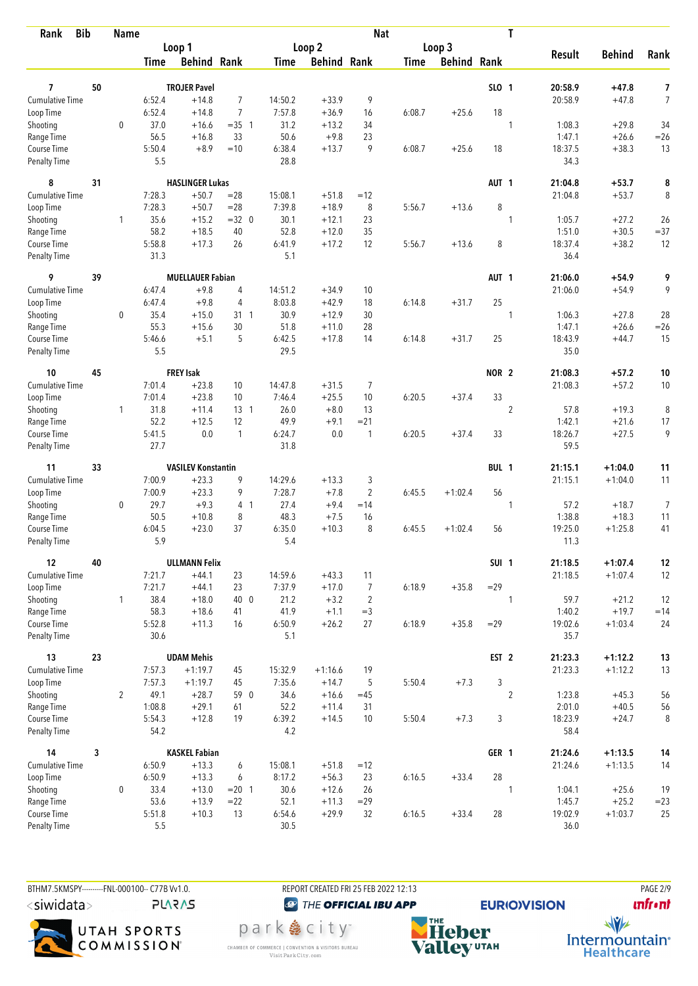| <b>Bib</b><br>Rank          |    | <b>Name</b>    |                |                           |                | T<br><b>Nat</b> |                    |                |             |                    |                  |                |                  |               |                |
|-----------------------------|----|----------------|----------------|---------------------------|----------------|-----------------|--------------------|----------------|-------------|--------------------|------------------|----------------|------------------|---------------|----------------|
|                             |    |                |                | Loop 1                    |                |                 | Loop <sub>2</sub>  |                |             | Loop 3             |                  |                |                  |               |                |
|                             |    |                | <b>Time</b>    | <b>Behind Rank</b>        |                | <b>Time</b>     | <b>Behind Rank</b> |                | <b>Time</b> | <b>Behind Rank</b> |                  |                | <b>Result</b>    | <b>Behind</b> | Rank           |
|                             |    |                |                |                           |                |                 |                    |                |             |                    |                  |                |                  |               |                |
| 7                           | 50 |                |                | <b>TROJER Pavel</b>       |                |                 |                    |                |             |                    | SLO 1            |                | 20:58.9          | $+47.8$       | 7              |
| <b>Cumulative Time</b>      |    |                | 6:52.4         | $+14.8$                   | $\overline{7}$ | 14:50.2         | $+33.9$            | 9              |             |                    |                  |                | 20:58.9          | $+47.8$       | $\overline{7}$ |
| Loop Time                   |    |                | 6:52.4         | $+14.8$                   | $\overline{7}$ | 7:57.8          | $+36.9$            | 16             | 6:08.7      | $+25.6$            | 18               | 1              |                  |               |                |
| Shooting                    |    | $\mathbf 0$    | 37.0<br>56.5   | $+16.6$<br>$+16.8$        | $=35$ 1<br>33  | 31.2<br>50.6    | $+13.2$<br>$+9.8$  | 34<br>23       |             |                    |                  |                | 1:08.3<br>1:47.1 | $+29.8$       | 34             |
| Range Time<br>Course Time   |    |                | 5:50.4         | $+8.9$                    | $=10$          |                 | $+13.7$            | 9              |             | $+25.6$            | 18               |                |                  | $+26.6$       | $=26$          |
| <b>Penalty Time</b>         |    |                | 5.5            |                           |                | 6:38.4<br>28.8  |                    |                | 6:08.7      |                    |                  |                | 18:37.5<br>34.3  | $+38.3$       | 13             |
| 8                           | 31 |                |                | <b>HASLINGER Lukas</b>    |                |                 |                    |                |             |                    | AUT <sub>1</sub> |                | 21:04.8          | $+53.7$       | 8              |
| Cumulative Time             |    |                | 7:28.3         | $+50.7$                   | $= 28$         | 15:08.1         | $+51.8$            | $=12$          |             |                    |                  |                | 21:04.8          | $+53.7$       | 8              |
| Loop Time                   |    |                | 7:28.3         | $+50.7$                   | $= 28$         | 7:39.8          | $+18.9$            | 8              | 5:56.7      | $+13.6$            | 8                |                |                  |               |                |
| Shooting                    |    | $\mathbf{1}$   | 35.6           | $+15.2$                   | $=32$ 0        | 30.1            | $+12.1$            | 23             |             |                    |                  | 1              | 1:05.7           | $+27.2$       | 26             |
| Range Time                  |    |                | 58.2           | $+18.5$                   | 40             | 52.8            | $+12.0$            | 35             |             |                    |                  |                | 1:51.0           | $+30.5$       | $= 37$         |
| Course Time                 |    |                | 5:58.8         | $+17.3$                   | 26             | 6:41.9          | $+17.2$            | 12             | 5:56.7      | $+13.6$            | 8                |                | 18:37.4          | $+38.2$       | 12             |
| <b>Penalty Time</b>         |    |                | 31.3           |                           |                | 5.1             |                    |                |             |                    |                  |                | 36.4             |               |                |
| 9                           | 39 |                |                | <b>MUELLAUER Fabian</b>   |                |                 |                    |                |             |                    | AUT <sub>1</sub> |                | 21:06.0          | $+54.9$       | 9              |
| Cumulative Time             |    |                | 6:47.4         | $+9.8$                    | 4              | 14:51.2         | $+34.9$            | 10             |             |                    |                  |                | 21:06.0          | $+54.9$       | 9              |
| Loop Time                   |    |                | 6:47.4         | $+9.8$                    | 4              | 8:03.8          | $+42.9$            | 18             | 6:14.8      | $+31.7$            | 25               |                |                  |               |                |
| Shooting                    |    | $\mathbf 0$    | 35.4           | $+15.0$                   | $31 \quad 1$   | 30.9            | $+12.9$            | 30             |             |                    |                  | 1              | 1:06.3           | $+27.8$       | 28             |
| Range Time                  |    |                | 55.3           | $+15.6$                   | 30             | 51.8            | $+11.0$            | 28             |             |                    |                  |                | 1:47.1           | $+26.6$       | $=26$          |
| Course Time                 |    |                | 5:46.6         | $+5.1$                    | 5              | 6:42.5          | $+17.8$            | 14             | 6:14.8      | $+31.7$            | 25               |                | 18:43.9          | $+44.7$       | 15             |
| <b>Penalty Time</b>         |    |                | 5.5            |                           |                | 29.5            |                    |                |             |                    |                  |                | 35.0             |               |                |
| 10                          | 45 |                |                | <b>FREY Isak</b>          |                |                 |                    |                |             |                    | NOR <sub>2</sub> |                | 21:08.3          | $+57.2$       | 10             |
| Cumulative Time             |    |                | 7:01.4         | $+23.8$                   | 10             | 14:47.8         | $+31.5$            | $\overline{7}$ |             |                    |                  |                | 21:08.3          | $+57.2$       | 10             |
| Loop Time                   |    |                | 7:01.4         | $+23.8$                   | 10             | 7:46.4          | $+25.5$            | 10             | 6:20.5      | $+37.4$            | 33               |                |                  |               |                |
| Shooting                    |    | $\mathbf{1}$   | 31.8           | $+11.4$                   | $13-1$         | 26.0            | $+8.0$             | 13             |             |                    |                  | $\overline{2}$ | 57.8             | $+19.3$       | 8              |
| Range Time                  |    |                | 52.2           | $+12.5$                   | 12             | 49.9            | $+9.1$             | $= 21$         |             |                    |                  |                | 1:42.1           | $+21.6$       | 17             |
| Course Time                 |    |                | 5:41.5         | 0.0                       | $\mathbf{1}$   | 6:24.7          | 0.0                | $\overline{1}$ | 6:20.5      | $+37.4$            | 33               |                | 18:26.7          | $+27.5$       | 9              |
| <b>Penalty Time</b>         |    |                | 27.7           |                           |                | 31.8            |                    |                |             |                    |                  |                | 59.5             |               |                |
| 11                          | 33 |                |                | <b>VASILEV Konstantin</b> |                |                 |                    |                |             |                    | BUL 1            |                | 21:15.1          | $+1:04.0$     | 11             |
| Cumulative Time             |    |                | 7:00.9         | $+23.3$                   | 9              | 14:29.6         | $+13.3$            | 3              |             |                    |                  |                | 21:15.1          | $+1:04.0$     | 11             |
| Loop Time                   |    |                | 7:00.9         | $+23.3$                   | 9              | 7:28.7          | $+7.8$             | 2              | 6:45.5      | $+1:02.4$          | 56               |                |                  |               |                |
| Shooting                    |    | $\mathbf 0$    | 29.7           | $+9.3$                    | 4 <sub>1</sub> | 27.4            | $+9.4$             | $=14$          |             |                    |                  | 1              | 57.2             | $+18.7$       | $\overline{7}$ |
| Range Time                  |    |                | 50.5           | $+10.8$                   | 8              | 48.3            | $+7.5$             | 16             |             |                    |                  |                | 1:38.8           | $+18.3$       | 11             |
| Course Time                 |    |                | 6:04.5         | $+23.0$                   | 37             | 6:35.0          | $+10.3$            | 8              | 6:45.5      | $+1:02.4$          | 56               |                | 19:25.0          | $+1:25.8$     | 41             |
| <b>Penalty Time</b>         |    |                | 5.9            |                           |                | 5.4             |                    |                |             |                    |                  |                | 11.3             |               |                |
| 12                          | 40 |                |                | <b>ULLMANN Felix</b>      |                |                 |                    |                |             |                    | SUI <sub>1</sub> |                | 21:18.5          | $+1:07.4$     | 12             |
| Cumulative Time             |    |                | 7:21.7         | $+44.1$                   | 23             | 14:59.6         | $+43.3$            | 11             |             |                    |                  |                | 21:18.5          | $+1:07.4$     | 12             |
| Loop Time                   |    |                | 7:21.7         | $+44.1$                   | 23             | 7:37.9          | $+17.0$            | $\overline{7}$ | 6:18.9      | $+35.8$            | $= 29$           |                |                  |               |                |
| Shooting                    |    | $\mathbf{1}$   | 38.4           | $+18.0$                   | 40 0           | 21.2            | $+3.2$             | $\overline{2}$ |             |                    |                  | $\mathbf{1}$   | 59.7             | $+21.2$       | 12             |
| Range Time                  |    |                | 58.3           | $+18.6$                   | 41             | 41.9            | $+1.1$             | $=3$           |             |                    |                  |                | 1:40.2           | $+19.7$       | $=14$          |
| Course Time<br>Penalty Time |    |                | 5:52.8<br>30.6 | $+11.3$                   | 16             | 6:50.9<br>5.1   | $+26.2$            | 27             | 6:18.9      | $+35.8$            | $=29$            |                | 19:02.6<br>35.7  | $+1:03.4$     | 24             |
|                             |    |                |                |                           |                |                 |                    |                |             |                    |                  |                |                  |               |                |
| 13                          | 23 |                |                | <b>UDAM Mehis</b>         |                |                 |                    |                |             |                    | EST <sub>2</sub> |                | 21:23.3          | $+1:12.2$     | 13             |
| <b>Cumulative Time</b>      |    |                | 7:57.3         | $+1:19.7$                 | 45             | 15:32.9         | $+1:16.6$          | 19             |             |                    |                  |                | 21:23.3          | $+1:12.2$     | 13             |
| Loop Time                   |    |                | 7:57.3         | $+1:19.7$                 | 45             | 7:35.6          | $+14.7$            | 5              | 5:50.4      | $+7.3$             | 3                |                |                  |               |                |
| Shooting                    |    | $\overline{2}$ | 49.1           | $+28.7$                   | 59 0           | 34.6            | $+16.6$            | $=45$          |             |                    |                  | $\overline{2}$ | 1:23.8           | $+45.3$       | 56             |
| Range Time                  |    |                | 1:08.8         | $+29.1$                   | 61             | 52.2            | $+11.4$            | 31             |             |                    |                  |                | 2:01.0           | $+40.5$       | 56             |
| Course Time<br>Penalty Time |    |                | 5:54.3<br>54.2 | $+12.8$                   | 19             | 6:39.2<br>4.2   | $+14.5$            | 10             | 5:50.4      | $+7.3$             | 3                |                | 18:23.9<br>58.4  | $+24.7$       | 8              |
| 14                          | 3  |                |                | <b>KASKEL Fabian</b>      |                |                 |                    |                |             |                    | GER 1            |                | 21:24.6          | $+1:13.5$     | 14             |
| Cumulative Time             |    |                | 6:50.9         | $+13.3$                   | 6              | 15:08.1         | $+51.8$            | $=12$          |             |                    |                  |                | 21:24.6          | $+1:13.5$     | 14             |
| Loop Time                   |    |                | 6:50.9         | $+13.3$                   | 6              | 8:17.2          | $+56.3$            | 23             | 6:16.5      | $+33.4$            | 28               |                |                  |               |                |
| Shooting                    |    | 0              | 33.4           | $+13.0$                   | $= 20$ 1       | 30.6            | $+12.6$            | 26             |             |                    |                  | 1              | 1:04.1           | $+25.6$       | 19             |
| Range Time                  |    |                | 53.6           | $+13.9$                   | $= 22$         | 52.1            | $+11.3$            | $=29$          |             |                    |                  |                | 1:45.7           | $+25.2$       | $= 23$         |
| Course Time                 |    |                | 5:51.8         | $+10.3$                   | 13             | 6:54.6          | $+29.9$            | 32             | 6:16.5      | $+33.4$            | 28               |                | 19:02.9          | $+1:03.7$     | 25             |
| <b>Penalty Time</b>         |    |                | 5.5            |                           |                | 30.5            |                    |                |             |                    |                  |                | 36.0             |               |                |

BTHM7.5KMSPY----------FNL-000100-- C77B Vv1.0.  $\langle$ siwidata $\rangle$ **PLARAS** 

UTAH SPORTS<br>COMMISSION®

REPORT CREATED FRI 25 FEB 2022 12:13

<sup><sup>3</sup>THE OFFICIAL IBU APP</sup> park e city<sup>®</sup>

CHAMBER OF COMMERCE | CONVENTION & VISITORS BUREAU<br>Visit Park City.com

**NHE**<br>Valley<sup>utAH</sup>

**EURIO)VISION** 

**unfront**  $\frac{1}{\sqrt{2}}$ 

**PAGE 2/9** 

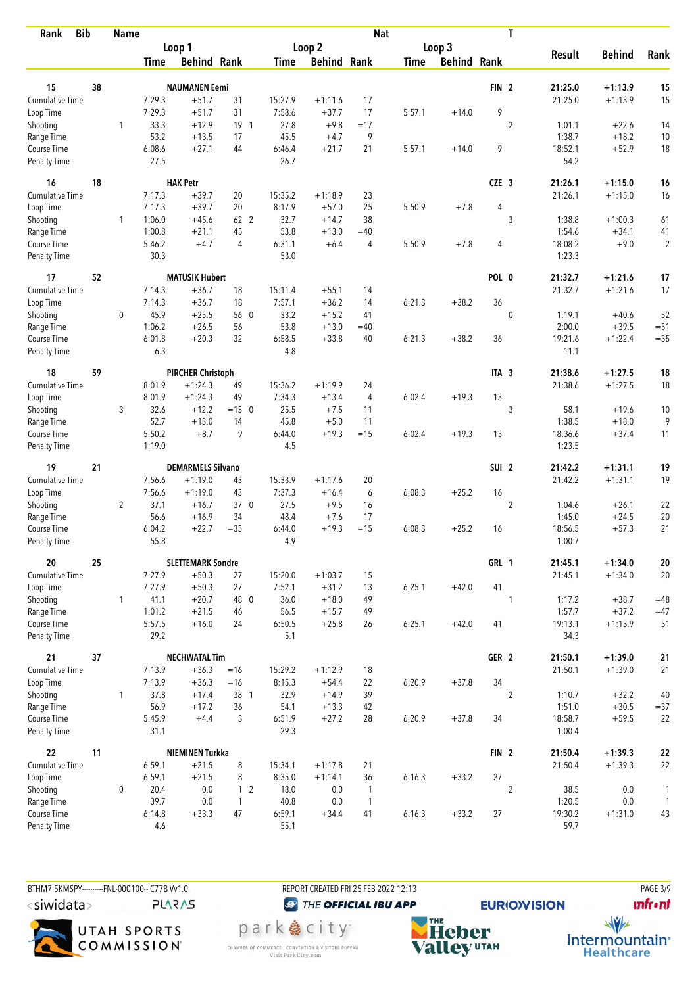| <b>Bib</b><br>Rank                 |    | <b>Name</b>    |                |                          |                |                |                    | <b>Nat</b>     |             |                    |                  | T              |                   |                    |                |
|------------------------------------|----|----------------|----------------|--------------------------|----------------|----------------|--------------------|----------------|-------------|--------------------|------------------|----------------|-------------------|--------------------|----------------|
|                                    |    |                |                | Loop 1                   |                |                | Loop 2             |                |             | Loop 3             |                  |                |                   |                    |                |
|                                    |    |                | <b>Time</b>    | <b>Behind Rank</b>       |                | <b>Time</b>    | <b>Behind Rank</b> |                | <b>Time</b> | <b>Behind Rank</b> |                  |                | <b>Result</b>     | <b>Behind</b>      | Rank           |
| 15                                 | 38 |                |                | <b>NAUMANEN Eemi</b>     |                |                |                    |                |             |                    | FIN <sub>2</sub> |                | 21:25.0           | $+1:13.9$          | 15             |
| Cumulative Time                    |    |                |                | $+51.7$                  |                |                |                    | 17             |             |                    |                  |                |                   |                    | 15             |
|                                    |    |                | 7:29.3         |                          | 31             | 15:27.9        | $+1:11.6$          |                |             |                    | 9                |                | 21:25.0           | $+1:13.9$          |                |
| Loop Time                          |    |                | 7:29.3         | $+51.7$                  | 31             | 7:58.6         | $+37.7$            | 17             | 5:57.1      | $+14.0$            |                  |                |                   |                    |                |
| Shooting                           |    | 1              | 33.3           | $+12.9$                  | $19-1$         | 27.8           | $+9.8$             | $=17$          |             |                    |                  | $\overline{2}$ | 1:01.1            | $+22.6$            | 14             |
| Range Time                         |    |                | 53.2           | $+13.5$<br>$+27.1$       | 17<br>44       | 45.5           | $+4.7$<br>$+21.7$  | 9<br>21        |             |                    | 9                |                | 1:38.7            | $+18.2$            | 10<br>18       |
| Course Time<br><b>Penalty Time</b> |    |                | 6:08.6<br>27.5 |                          |                | 6:46.4<br>26.7 |                    |                | 5:57.1      | $+14.0$            |                  |                | 18:52.1<br>54.2   | $+52.9$            |                |
| 16                                 | 18 |                |                | <b>HAK Petr</b>          |                |                |                    |                |             |                    | CZE <sub>3</sub> |                | 21:26.1           | $+1:15.0$          | 16             |
| <b>Cumulative Time</b>             |    |                | 7:17.3         | $+39.7$                  | 20             | 15:35.2        | $+1:18.9$          | 23             |             |                    |                  |                | 21:26.1           | $+1:15.0$          | 16             |
| Loop Time                          |    |                | 7:17.3         | $+39.7$                  | 20             | 8:17.9         | $+57.0$            | 25             | 5:50.9      | $+7.8$             | 4                |                |                   |                    |                |
| Shooting                           |    | 1              | 1:06.0         | $+45.6$                  | 62 2           | 32.7           | $+14.7$            | 38             |             |                    |                  | 3              | 1:38.8            | $+1:00.3$          | 61             |
| Range Time                         |    |                | 1:00.8         | $+21.1$                  | 45             | 53.8           | $+13.0$            | $=40$          |             |                    |                  |                | 1:54.6            | $+34.1$            | 41             |
| Course Time                        |    |                | 5:46.2         | $+4.7$                   | 4              | 6:31.1         | $+6.4$             | 4              | 5:50.9      | $+7.8$             | 4                |                | 18:08.2           | $+9.0$             | $\overline{2}$ |
| <b>Penalty Time</b>                |    |                | 30.3           |                          |                | 53.0           |                    |                |             |                    |                  |                | 1:23.3            |                    |                |
| 17                                 | 52 |                |                | <b>MATUSIK Hubert</b>    |                |                |                    |                |             |                    | POL 0            |                | 21:32.7           | $+1:21.6$          | 17             |
| <b>Cumulative Time</b>             |    |                | 7:14.3         | $+36.7$                  | 18             | 15:11.4        | $+55.1$            | 14             |             |                    |                  |                | 21:32.7           | $+1:21.6$          | 17             |
| Loop Time                          |    |                | 7:14.3         | $+36.7$                  | 18             | 7:57.1         | $+36.2$            | 14             | 6:21.3      | $+38.2$            | 36               |                |                   |                    |                |
| Shooting                           |    | $\mathbf 0$    | 45.9           | $+25.5$                  | 56 0           | 33.2           | $+15.2$            | 41             |             |                    |                  | $\mathbf 0$    | 1:19.1            | $+40.6$            | 52             |
| Range Time                         |    |                | 1:06.2         | $+26.5$                  | 56             | 53.8           | $+13.0$            | $=40$          |             |                    |                  |                | 2:00.0            | $+39.5$            | $=51$          |
| Course Time                        |    |                | 6:01.8         | $+20.3$                  | 32             | 6:58.5         | $+33.8$            | 40             | 6:21.3      | $+38.2$            | 36               |                | 19:21.6           | $+1:22.4$          | $=35$          |
| <b>Penalty Time</b>                |    |                | 6.3            |                          |                | 4.8            |                    |                |             |                    |                  |                | 11.1              |                    |                |
| 18                                 | 59 |                |                | <b>PIRCHER Christoph</b> |                |                |                    |                |             |                    | ITA <sub>3</sub> |                | 21:38.6           | $+1:27.5$          | 18             |
| Cumulative Time                    |    |                | 8:01.9         | $+1:24.3$                | 49             | 15:36.2        | $+1:19.9$          | 24             |             |                    |                  |                | 21:38.6           | $+1:27.5$          | 18             |
| Loop Time                          |    |                | 8:01.9         | $+1:24.3$                | 49             | 7:34.3         | $+13.4$            | $\overline{4}$ | 6:02.4      | $+19.3$            | 13               |                |                   |                    |                |
| Shooting                           |    | 3              | 32.6           | $+12.2$                  | $=15$ 0        | 25.5           | $+7.5$             | 11             |             |                    |                  | 3              | 58.1              | $+19.6$            | 10             |
| Range Time                         |    |                | 52.7           | $+13.0$                  | 14             | 45.8           | $+5.0$             | 11             |             |                    |                  |                | 1:38.5            | $+18.0$            | 9              |
| Course Time                        |    |                | 5:50.2         | $+8.7$                   | 9              | 6:44.0         | $+19.3$            | $=15$          | 6:02.4      | $+19.3$            | 13               |                | 18:36.6           | $+37.4$            | 11             |
| <b>Penalty Time</b>                |    |                | 1:19.0         |                          |                | 4.5            |                    |                |             |                    |                  |                | 1:23.5            |                    |                |
| 19                                 | 21 |                |                | <b>DEMARMELS Silvano</b> |                |                |                    |                |             |                    | SUI <sub>2</sub> |                | 21:42.2           | $+1:31.1$          | 19             |
| <b>Cumulative Time</b>             |    |                | 7:56.6         | $+1:19.0$                | 43             | 15:33.9        | $+1:17.6$          | 20             |             |                    |                  |                | 21:42.2           | $+1:31.1$          | 19             |
| Loop Time                          |    |                | 7:56.6         | $+1:19.0$                | 43             | 7:37.3         | $+16.4$            | 6              | 6:08.3      | $+25.2$            | 16               |                |                   |                    |                |
| Shooting                           |    | $\overline{2}$ | 37.1           | $+16.7$                  | 37 0           | 27.5           | $+9.5$             | 16             |             |                    |                  | $\overline{2}$ | 1:04.6            | $+26.1$            | 22             |
| Range Time                         |    |                | 56.6           | $+16.9$                  | 34             | 48.4           | $+7.6$             | 17             |             |                    |                  |                | 1:45.0            | $+24.5$            | 20             |
| Course Time                        |    |                | 6:04.2         | $+22.7$                  | $=35$          | 6:44.0         | $+19.3$            | $=15$          | 6:08.3      | $+25.2$            | 16               |                | 18:56.5           | $+57.3$            | 21             |
| <b>Penalty Time</b>                |    |                | 55.8           |                          |                | 4.9            |                    |                |             |                    |                  |                | 1:00.7            |                    |                |
| 20                                 | 25 |                |                | <b>SLETTEMARK Sondre</b> |                |                |                    |                |             |                    | GRL 1            |                | 21:45.1           | $+1:34.0$          | ${\bf 20}$     |
| <b>Cumulative Time</b>             |    |                | 7:27.9         | $+50.3$                  | 27             | 15:20.0        | $+1:03.7$          | 15             |             |                    |                  |                | 21:45.1           | $+1:34.0$          | 20             |
| Loop Time                          |    |                | 7:27.9         | $+50.3$                  | 27             | 7:52.1         | $+31.2$            | 13             | 6:25.1      | $+42.0$            | 41               |                |                   |                    |                |
| Shooting                           |    | $\mathbf{1}$   | 41.1           | $+20.7$                  | 48 0           | 36.0           | $+18.0$            | 49             |             |                    |                  | $\mathbf{1}$   | 1:17.2            | $+38.7$            | $=48$          |
| Range Time                         |    |                | 1:01.2         | $+21.5$                  | 46             | 56.5           | $+15.7$            | 49             |             |                    |                  |                | 1:57.7            | $+37.2$            | $=47$          |
| Course Time<br>Penalty Time        |    |                | 5:57.5<br>29.2 | $+16.0$                  | 24             | 6:50.5<br>5.1  | $+25.8$            | 26             | 6:25.1      | $+42.0$            | 41               |                | 19:13.1<br>34.3   | $+1:13.9$          | 31             |
| 21                                 | 37 |                |                | <b>NECHWATAL Tim</b>     |                |                |                    |                |             |                    | GER <sub>2</sub> |                | 21:50.1           | $+1:39.0$          | 21             |
| <b>Cumulative Time</b>             |    |                | 7:13.9         | $+36.3$                  | $=16$          | 15:29.2        | $+1:12.9$          | 18             |             |                    |                  |                | 21:50.1           | $+1:39.0$          | 21             |
|                                    |    |                |                | $+36.3$                  | $=16$          |                |                    |                |             |                    | 34               |                |                   |                    |                |
| Loop Time                          |    |                | 7:13.9         |                          |                | 8:15.3         | $+54.4$            | 22             | 6:20.9      | $+37.8$            |                  |                |                   |                    |                |
| Shooting                           |    | $\mathbf{1}$   | 37.8           | $+17.4$                  | 38 1           | 32.9           | $+14.9$            | 39             |             |                    |                  | $\overline{2}$ | 1:10.7            | $+32.2$            | 40             |
| Range Time<br>Course Time          |    |                | 56.9<br>5:45.9 | $+17.2$<br>$+4.4$        | 36<br>3        | 54.1<br>6:51.9 | $+13.3$<br>$+27.2$ | 42<br>28       | 6:20.9      | $+37.8$            | 34               |                | 1:51.0<br>18:58.7 | $+30.5$<br>$+59.5$ | $= 37$<br>22   |
| Penalty Time                       |    |                | 31.1           |                          |                | 29.3           |                    |                |             |                    |                  |                | 1:00.4            |                    |                |
| 22                                 | 11 |                |                | NIEMINEN Turkka          |                |                |                    |                |             |                    | FIN <sub>2</sub> |                | 21:50.4           | $+1:39.3$          | ${\bf 22}$     |
| <b>Cumulative Time</b>             |    |                | 6:59.1         | $+21.5$                  | 8              | 15:34.1        | $+1:17.8$          | 21             |             |                    |                  |                | 21:50.4           | $+1:39.3$          | 22             |
| Loop Time                          |    |                | 6:59.1         | $+21.5$                  | 8              | 8:35.0         | $+1:14.1$          | 36             | 6:16.3      | $+33.2$            | 27               |                |                   |                    |                |
| Shooting                           |    | 0              | 20.4           | 0.0                      | 1 <sub>2</sub> | 18.0           | 0.0                | $\mathbf{1}$   |             |                    |                  | $\overline{2}$ | 38.5              | 0.0                | 1              |
| Range Time                         |    |                | 39.7           | 0.0                      | $\mathbf{1}$   | 40.8           | 0.0                | $\overline{1}$ |             |                    |                  |                | 1:20.5            | 0.0                | $\mathbf{1}$   |
| Course Time                        |    |                | 6:14.8         | $+33.3$                  | 47             | 6:59.1         | $+34.4$            | 41             | 6:16.3      | $+33.2$            | 27               |                | 19:30.2           | $+1:31.0$          | 43             |
| Penalty Time                       |    |                | 4.6            |                          |                | 55.1           |                    |                |             |                    |                  |                | 59.7              |                    |                |

BTHM7.5KMSPY----------FNL-000100-- C77B Vv1.0.  $\langle$ siwidata $\rangle$ 

**PLARAS** 



<sup><sup>3</sup>THE OFFICIAL IBU APP</sup> park e city<sup>®</sup>

CHAMBER OF COMMERCE | CONVENTION & VISITORS BUREAU<br>Visit Park City.com

REPORT CREATED FRI 25 FEB 2022 12:13

**EURIO)VISION NHE**<br>Valley<sup>utAH</sup>

**unfront**  $\frac{1}{\sqrt{2}}$ Intermountain<sup>®</sup><br>Healthcare

**PAGE 3/9**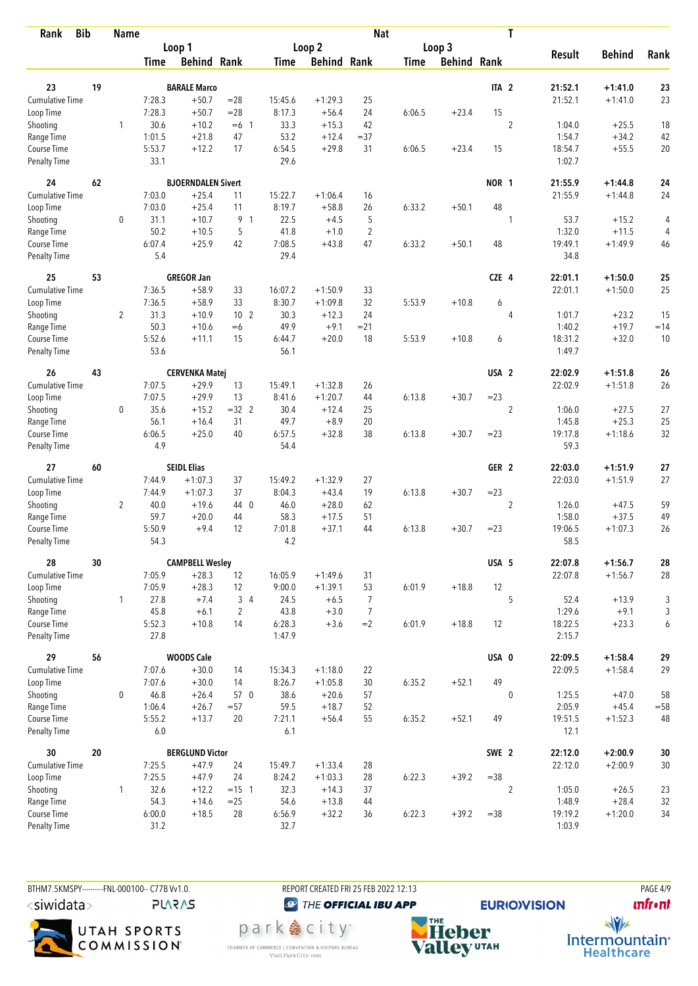| <b>Bib</b><br>Rank                 |    | <b>Name</b>    |                  |                                |                 |                   |                    | <b>Nat</b>     |             |                    |                  | T              |                   |               |                |
|------------------------------------|----|----------------|------------------|--------------------------------|-----------------|-------------------|--------------------|----------------|-------------|--------------------|------------------|----------------|-------------------|---------------|----------------|
|                                    |    |                |                  | Loop 1                         |                 |                   | Loop <sub>2</sub>  |                |             | Loop 3             |                  |                |                   |               |                |
|                                    |    |                | <b>Time</b>      | <b>Behind Rank</b>             |                 | <b>Time</b>       | <b>Behind Rank</b> |                | <b>Time</b> | <b>Behind Rank</b> |                  |                | <b>Result</b>     | <b>Behind</b> | Rank           |
| 23                                 | 19 |                |                  |                                |                 |                   |                    |                |             |                    | ITA <sub>2</sub> |                | 21:52.1           | $+1:41.0$     |                |
| Cumulative Time                    |    |                |                  | <b>BARALE Marco</b><br>$+50.7$ | $=28$           |                   | $+1:29.3$          |                |             |                    |                  |                |                   | $+1:41.0$     | 23<br>23       |
|                                    |    |                | 7:28.3<br>7:28.3 | $+50.7$                        | $=28$           | 15:45.6<br>8:17.3 | $+56.4$            | 25<br>24       |             | $+23.4$            | 15               |                | 21:52.1           |               |                |
| Loop Time                          |    |                | 30.6             | $+10.2$                        |                 | 33.3              | $+15.3$            | 42             | 6:06.5      |                    |                  | $\overline{2}$ | 1:04.0            | $+25.5$       |                |
| Shooting                           |    | 1              | 1:01.5           | $+21.8$                        | $=6$ 1          | 53.2              |                    | $= 37$         |             |                    |                  |                |                   | $+34.2$       | 18             |
| Range Time                         |    |                |                  |                                | 47<br>17        |                   | $+12.4$<br>$+29.8$ | 31             |             | $+23.4$            | 15               |                | 1:54.7            |               | 42<br>20       |
| Course Time<br><b>Penalty Time</b> |    |                | 5:53.7<br>33.1   | $+12.2$                        |                 | 6:54.5<br>29.6    |                    |                | 6:06.5      |                    |                  |                | 18:54.7<br>1:02.7 | $+55.5$       |                |
| 24                                 | 62 |                |                  | <b>BJOERNDALEN Sivert</b>      |                 |                   |                    |                |             |                    | NOR 1            |                | 21:55.9           | $+1:44.8$     | 24             |
| <b>Cumulative Time</b>             |    |                | 7:03.0           | $+25.4$                        | 11              | 15:22.7           | $+1:06.4$          | 16             |             |                    |                  |                | 21:55.9           | $+1:44.8$     | 24             |
| Loop Time                          |    |                | 7:03.0           | $+25.4$                        | 11              | 8:19.7            | $+58.8$            | 26             | 6:33.2      | $+50.1$            | 48               |                |                   |               |                |
| Shooting                           |    | 0              | 31.1             | $+10.7$                        | 9 1             | 22.5              | $+4.5$             | 5              |             |                    |                  | 1              | 53.7              | $+15.2$       | 4              |
| Range Time                         |    |                | 50.2             | $+10.5$                        | 5               | 41.8              | $+1.0$             | $\overline{2}$ |             |                    |                  |                | 1:32.0            | $+11.5$       | $\overline{4}$ |
| Course Time                        |    |                | 6:07.4           | $+25.9$                        | 42              | 7:08.5            | $+43.8$            | 47             | 6:33.2      | $+50.1$            | 48               |                | 19:49.1           | $+1:49.9$     | 46             |
| <b>Penalty Time</b>                |    |                | 5.4              |                                |                 | 29.4              |                    |                |             |                    |                  |                | 34.8              |               |                |
| 25                                 | 53 |                |                  | <b>GREGOR Jan</b>              |                 |                   |                    |                |             |                    | CZE 4            |                | 22:01.1           | $+1:50.0$     | 25             |
| <b>Cumulative Time</b>             |    |                | 7:36.5           | $+58.9$                        | 33              | 16:07.2           | $+1:50.9$          | 33             |             |                    |                  |                | 22:01.1           | $+1:50.0$     | 25             |
| Loop Time                          |    |                | 7:36.5           | $+58.9$                        | 33              | 8:30.7            | $+1:09.8$          | 32             | 5:53.9      | $+10.8$            | 6                |                |                   |               |                |
| Shooting                           |    | $\overline{2}$ | 31.3             | $+10.9$                        | 10 <sub>2</sub> | 30.3              | $+12.3$            | 24             |             |                    |                  | $\overline{4}$ | 1:01.7            | $+23.2$       | 15             |
| Range Time                         |    |                | 50.3             | $+10.6$                        | $=6$            | 49.9              | $+9.1$             | $= 21$         |             |                    |                  |                | 1:40.2            | $+19.7$       | $=14$          |
| Course Time                        |    |                | 5:52.6           | $+11.1$                        | 15              | 6:44.7            | $+20.0$            | 18             | 5:53.9      | $+10.8$            | 6                |                | 18:31.2           | $+32.0$       | 10             |
| <b>Penalty Time</b>                |    |                | 53.6             |                                |                 | 56.1              |                    |                |             |                    |                  |                | 1:49.7            |               |                |
| 26                                 | 43 |                |                  | <b>CERVENKA Matej</b>          |                 |                   |                    |                |             |                    | USA <sub>2</sub> |                | 22:02.9           | $+1:51.8$     | 26             |
| Cumulative Time                    |    |                | 7:07.5           | $+29.9$                        | 13              | 15:49.1           | $+1:32.8$          | 26             |             |                    |                  |                | 22:02.9           | $+1:51.8$     | 26             |
| Loop Time                          |    |                | 7:07.5           | $+29.9$                        | 13              | 8:41.6            | $+1:20.7$          | 44             | 6:13.8      | $+30.7$            | $= 23$           |                |                   |               |                |
| Shooting                           |    | 0              | 35.6             | $+15.2$                        | $=32$ 2         | 30.4              | $+12.4$            | 25             |             |                    |                  | $\overline{2}$ | 1:06.0            | $+27.5$       | 27             |
| Range Time                         |    |                | 56.1             | $+16.4$                        | 31              | 49.7              | $+8.9$             | 20             |             |                    |                  |                | 1:45.8            | $+25.3$       | 25             |
| Course Time                        |    |                | 6:06.5           | $+25.0$                        | 40              | 6:57.5            | $+32.8$            | 38             | 6:13.8      | $+30.7$            | $= 23$           |                | 19:17.8           | $+1:18.6$     | 32             |
| <b>Penalty Time</b>                |    |                | 4.9              |                                |                 | 54.4              |                    |                |             |                    |                  |                | 59.3              |               |                |
| 27                                 | 60 |                |                  | <b>SEIDL Elias</b>             |                 |                   |                    |                |             |                    | GER <sub>2</sub> |                | 22:03.0           | $+1:51.9$     | 27             |
| <b>Cumulative Time</b>             |    |                | 7:44.9           | $+1:07.3$                      | 37              | 15:49.2           | $+1:32.9$          | 27             |             |                    |                  |                | 22:03.0           | $+1:51.9$     | 27             |
| Loop Time                          |    |                | 7:44.9           | $+1:07.3$                      | 37              | 8:04.3            | $+43.4$            | 19             | 6:13.8      | $+30.7$            | $= 23$           |                |                   |               |                |
| Shooting                           |    | $\overline{2}$ | 40.0             | $+19.6$                        | 44 0            | 46.0              | $+28.0$            | 62             |             |                    |                  | $\overline{2}$ | 1:26.0            | $+47.5$       | 59             |
| Range Time                         |    |                | 59.7             | $+20.0$                        | 44              | 58.3              | $+17.5$            | 51             |             |                    |                  |                | 1:58.0            | $+37.5$       | 49             |
| Course Time                        |    |                | 5:50.9           | $+9.4$                         | 12              | 7:01.8            | $+37.1$            | 44             | 6:13.8      | $+30.7$            | $= 23$           |                | 19:06.5           | $+1:07.3$     | 26             |
| <b>Penalty Time</b>                |    |                | 54.3             |                                |                 | 4.2               |                    |                |             |                    |                  |                | 58.5              |               |                |
| 28                                 | 30 |                |                  | <b>CAMPBELL Wesley</b>         |                 |                   |                    |                |             |                    | USA 5            |                | 22:07.8           | $+1:56.7$     | 28             |
| <b>Cumulative Time</b>             |    |                | 7:05.9           | $+28.3$                        | 12              | 16:05.9           | $+1:49.6$          | 31             |             |                    |                  |                | 22:07.8           | $+1:56.7$     | 28             |
| Loop Time                          |    |                | 7:05.9           | $+28.3$                        | 12              | 9:00.0            | $+1:39.1$          | 53             | 6:01.9      | $+18.8$            | 12               |                |                   |               |                |
| Shooting                           |    | $\mathbf{1}$   | 27.8             | $+7.4$                         | $3\quad 4$      | 24.5              | $+6.5$             | $\overline{7}$ |             |                    |                  | 5              | 52.4              | $+13.9$       | 3              |
| Range Time                         |    |                | 45.8             | $+6.1$                         | $\overline{2}$  | 43.8              | $+3.0$             | $\overline{7}$ |             |                    |                  |                | 1:29.6            | $+9.1$        | 3              |
| Course Time                        |    |                | 5:52.3           | $+10.8$                        | 14              | 6:28.3            | $+3.6$             | $=2$           | 6:01.9      | $+18.8$            | 12               |                | 18:22.5           | $+23.3$       | 6              |
| Penalty Time                       |    |                | 27.8             |                                |                 | 1:47.9            |                    |                |             |                    |                  |                | 2:15.7            |               |                |
| 29                                 | 56 |                |                  | <b>WOODS Cale</b>              |                 |                   |                    |                |             |                    | USA 0            |                | 22:09.5           | $+1:58.4$     | 29             |
| <b>Cumulative Time</b>             |    |                | 7:07.6           | $+30.0$                        | 14              | 15:34.3           | $+1:18.0$          | 22             |             |                    |                  |                | 22:09.5           | $+1:58.4$     | 29             |
| Loop Time                          |    |                | 7:07.6           | $+30.0$                        | 14              | 8:26.7            | $+1:05.8$          | 30             | 6:35.2      | $+52.1$            | 49               |                |                   |               |                |
| Shooting                           |    | 0              | 46.8             | $+26.4$                        | 57 0            | 38.6              | $+20.6$            | 57             |             |                    |                  | $\mathbf 0$    | 1:25.5            | $+47.0$       | 58             |
| Range Time                         |    |                | 1:06.4           | $+26.7$                        | $= 57$          | 59.5              | $+18.7$            | 52             |             |                    |                  |                | 2:05.9            | $+45.4$       | $=58$          |
| Course Time                        |    |                | 5:55.2           | $+13.7$                        | 20              | 7:21.1            | $+56.4$            | 55             | 6:35.2      | $+52.1$            | 49               |                | 19:51.5           | $+1:52.3$     | 48             |
| Penalty Time                       |    |                | 6.0              |                                |                 | 6.1               |                    |                |             |                    |                  |                | 12.1              |               |                |
| 30                                 | 20 |                |                  | <b>BERGLUND Victor</b>         |                 |                   |                    |                |             |                    | SWE 2            |                | 22:12.0           | $+2:00.9$     | $30\,$         |
| <b>Cumulative Time</b>             |    |                | 7:25.5           | $+47.9$                        | 24              | 15:49.7           | $+1:33.4$          | 28             |             |                    |                  |                | 22:12.0           | $+2:00.9$     | $30\,$         |
| Loop Time                          |    |                | 7:25.5           | $+47.9$                        | 24              | 8:24.2            | $+1:03.3$          | 28             | 6:22.3      | $+39.2$            | $=38$            |                |                   |               |                |
| Shooting                           |    | 1              | 32.6             | $+12.2$                        | $= 15 \quad 1$  | 32.3              | $+14.3$            | 37             |             |                    |                  | $\overline{2}$ | 1:05.0            | $+26.5$       | 23             |
| Range Time                         |    |                | 54.3             | $+14.6$                        | $=25$           | 54.6              | $+13.8$            | 44             |             |                    |                  |                | 1:48.9            | $+28.4$       | 32             |
| Course Time                        |    |                | 6:00.0           | $+18.5$                        | 28              | 6:56.9            | $+32.2$            | 36             | 6:22.3      | $+39.2$            | $= 38$           |                | 19:19.2           | $+1:20.0$     | 34             |
| Penalty Time                       |    |                | 31.2             |                                |                 | 32.7              |                    |                |             |                    |                  |                | 1:03.9            |               |                |

BTHM7.5KMSPY---------FNL-000100-- C77B W1.0. REPORT CREATED FRI 25 FEB 2022 12:13 PAGE 4/9  $\langle$ siwidata $\rangle$ 

**PLARAS** 



<sup><sup>3</sup>THE OFFICIAL IBU APP</sup>

park e city<sup>®</sup>

CHAMBER OF COMMERCE | CONVENTION & VISITORS BUREAU<br>Visit Park City.com

**EURIO)VISION NHE**<br>Valley<sup>utAH</sup>

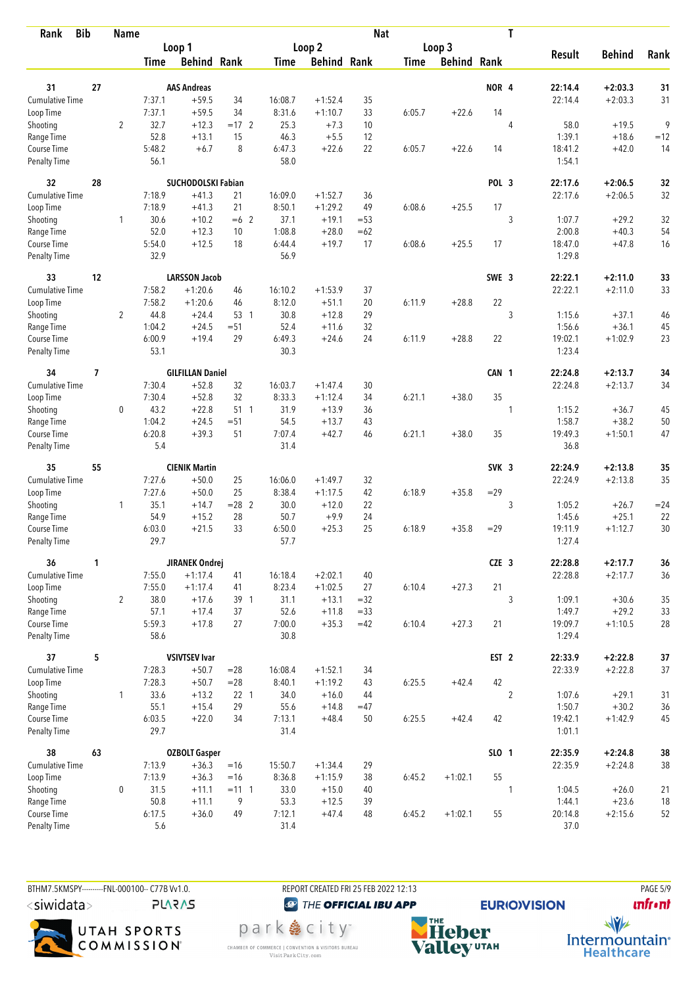| <b>Bib</b><br>Rank          | <b>Name</b>              |                |                |                                 | <b>Nat</b>      |                |                    |          |             |                    | T                |                |                    |                        |              |
|-----------------------------|--------------------------|----------------|----------------|---------------------------------|-----------------|----------------|--------------------|----------|-------------|--------------------|------------------|----------------|--------------------|------------------------|--------------|
|                             |                          |                |                | Loop 1                          |                 |                | Loop <sub>2</sub>  |          |             | Loop 3             |                  |                |                    |                        |              |
|                             |                          |                | <b>Time</b>    | <b>Behind Rank</b>              |                 | <b>Time</b>    | <b>Behind Rank</b> |          | <b>Time</b> | <b>Behind Rank</b> |                  |                | <b>Result</b>      | <b>Behind</b>          | Rank         |
|                             |                          |                |                |                                 |                 |                |                    |          |             |                    |                  |                |                    |                        |              |
| 31                          | 27                       |                |                | <b>AAS Andreas</b>              |                 |                |                    |          |             |                    | NOR <sub>4</sub> |                | 22:14.4            | $+2:03.3$              | 31           |
| <b>Cumulative Time</b>      |                          |                | 7:37.1         | $+59.5$                         | 34              | 16:08.7        | $+1:52.4$          | 35       |             |                    |                  |                | 22:14.4            | $+2:03.3$              | 31           |
| Loop Time                   |                          |                | 7:37.1         | $+59.5$                         | 34              | 8:31.6         | $+1:10.7$          | 33       | 6:05.7      | $+22.6$            | 14               |                |                    |                        | 9            |
| Shooting                    |                          | $\overline{2}$ | 32.7<br>52.8   | $+12.3$                         | $=17$ 2<br>15   | 25.3           | $+7.3$             | 10<br>12 |             |                    |                  | 4              | 58.0<br>1:39.1     | $+19.5$<br>$+18.6$     |              |
| Range Time<br>Course Time   |                          |                | 5:48.2         | $+13.1$<br>$+6.7$               | 8               | 46.3<br>6:47.3 | $+5.5$<br>$+22.6$  | 22       | 6:05.7      | $+22.6$            | 14               |                | 18:41.2            | $+42.0$                | $=12$<br>14  |
| <b>Penalty Time</b>         |                          |                | 56.1           |                                 |                 | 58.0           |                    |          |             |                    |                  |                | 1:54.1             |                        |              |
| 32                          | 28                       |                |                | SUCHODOLSKI Fabian              |                 |                |                    |          |             |                    | POL <sub>3</sub> |                | 22:17.6            | $+2:06.5$              | 32           |
| Cumulative Time             |                          |                | 7:18.9         | $+41.3$                         | 21              | 16:09.0        | $+1:52.7$          | 36       |             |                    |                  |                | 22:17.6            | $+2:06.5$              | 32           |
| Loop Time                   |                          |                | 7:18.9         | $+41.3$                         | 21              | 8:50.1         | $+1:29.2$          | 49       | 6:08.6      | $+25.5$            | 17               |                |                    |                        |              |
| Shooting                    |                          | 1              | 30.6           | $+10.2$                         | $=6$ 2          | 37.1           | $+19.1$            | $= 53$   |             |                    |                  | 3              | 1:07.7             | $+29.2$                | 32           |
| Range Time                  |                          |                | 52.0           | $+12.3$                         | 10              | 1:08.8         | $+28.0$            | $=62$    |             |                    |                  |                | 2:00.8             | $+40.3$                | 54           |
| Course Time                 |                          |                | 5:54.0         | $+12.5$                         | 18              | 6:44.4         | $+19.7$            | 17       | 6:08.6      | $+25.5$            | 17               |                | 18:47.0            | $+47.8$                | 16           |
| <b>Penalty Time</b>         |                          |                | 32.9           |                                 |                 | 56.9           |                    |          |             |                    |                  |                | 1:29.8             |                        |              |
| 33                          | 12                       |                |                | <b>LARSSON Jacob</b>            |                 |                |                    |          |             |                    | SWE 3            |                | 22:22.1            | $+2:11.0$              | 33           |
| Cumulative Time             |                          |                | 7:58.2         | $+1:20.6$                       | 46              | 16:10.2        | $+1:53.9$          | 37       |             |                    |                  |                | 22:22.1            | $+2:11.0$              | 33           |
| Loop Time                   |                          |                | 7:58.2         | $+1:20.6$                       | 46              | 8:12.0         | $+51.1$            | 20       | 6:11.9      | $+28.8$            | 22               |                |                    |                        |              |
| Shooting                    |                          | $\overline{2}$ | 44.8           | $+24.4$                         | 53 1            | 30.8           | $+12.8$            | 29       |             |                    |                  | 3              | 1:15.6             | $+37.1$                | 46           |
| Range Time                  |                          |                | 1:04.2         | $+24.5$                         | $= 51$          | 52.4           | $+11.6$            | 32       |             |                    |                  |                | 1:56.6             | $+36.1$                | 45           |
| Course Time                 |                          |                | 6:00.9         | $+19.4$                         | 29              | 6:49.3         | $+24.6$            | 24       | 6:11.9      | $+28.8$            | 22               |                | 19:02.1            | $+1:02.9$              | 23           |
| <b>Penalty Time</b>         |                          |                | 53.1           |                                 |                 | 30.3           |                    |          |             |                    |                  |                | 1:23.4             |                        |              |
| 34                          | $\overline{\phantom{a}}$ |                |                | <b>GILFILLAN Daniel</b>         |                 |                |                    |          |             |                    | CAN 1            |                | 22:24.8            | $+2:13.7$              | 34           |
| Cumulative Time             |                          |                | 7:30.4         | $+52.8$                         | 32              | 16:03.7        | $+1:47.4$          | 30       |             |                    |                  |                | 22:24.8            | $+2:13.7$              | 34           |
| Loop Time                   |                          |                | 7:30.4         | $+52.8$                         | 32              | 8:33.3         | $+1:12.4$          | 34       | 6:21.1      | $+38.0$            | 35               |                |                    |                        |              |
| Shooting                    |                          | 0              | 43.2           | $+22.8$                         | 51 1            | 31.9           | $+13.9$            | 36       |             |                    |                  | 1              | 1:15.2             | $+36.7$                | 45           |
| Range Time                  |                          |                | 1:04.2         | $+24.5$                         | $= 51$          | 54.5           | $+13.7$            | 43       |             |                    |                  |                | 1:58.7             | $+38.2$                | 50           |
| Course Time                 |                          |                | 6:20.8         | $+39.3$                         | 51              | 7:07.4         | $+42.7$            | 46       | 6:21.1      | $+38.0$            | 35               |                | 19:49.3            | $+1:50.1$              | 47           |
| <b>Penalty Time</b>         |                          |                | 5.4            |                                 |                 | 31.4           |                    |          |             |                    |                  |                | 36.8               |                        |              |
| 35                          | 55                       |                |                | <b>CIENIK Martin</b>            |                 |                |                    |          |             |                    | SVK <sub>3</sub> |                | 22:24.9            | $+2:13.8$              | 35           |
| <b>Cumulative Time</b>      |                          |                | 7:27.6         | $+50.0$                         | 25              | 16:06.0        | $+1:49.7$          | 32       |             |                    |                  |                | 22:24.9            | $+2:13.8$              | 35           |
| Loop Time                   |                          |                | 7:27.6         | $+50.0$                         | 25              | 8:38.4         | $+1:17.5$          | 42       | 6:18.9      | $+35.8$            | $=29$            |                |                    |                        |              |
| Shooting                    |                          | $\mathbf{1}$   | 35.1           | $+14.7$                         | $= 28$ 2        | 30.0           | $+12.0$            | 22       |             |                    |                  | 3              | 1:05.2             | $+26.7$                | $= 24$       |
| Range Time                  |                          |                | 54.9           | $+15.2$                         | 28              | 50.7           | $+9.9$             | 24       |             |                    |                  |                | 1:45.6             | $+25.1$                | 22           |
| Course Time                 |                          |                | 6:03.0         | $+21.5$                         | 33              | 6:50.0         | $+25.3$            | 25       | 6:18.9      | $+35.8$            | $=29$            |                | 19:11.9            | $+1:12.7$              | 30           |
| <b>Penalty Time</b>         |                          |                | 29.7           |                                 |                 | 57.7           |                    |          |             |                    |                  |                | 1:27.4             |                        |              |
| 36                          | 1                        |                |                | <b>JIRANEK Ondrej</b>           |                 |                |                    |          |             |                    | CZE 3            |                | 22:28.8            | $+2:17.7$              | 36           |
| <b>Cumulative Time</b>      |                          |                | 7:55.0         | $+1:17.4$                       | 41              | 16:18.4        | $+2:02.1$          | 40       |             |                    |                  |                | 22:28.8            | $+2:17.7$              | 36           |
| Loop Time                   |                          |                | 7:55.0         | $+1:17.4$                       | 41              | 8:23.4         | $+1:02.5$          | 27       | 6:10.4      | $+27.3$            | 21               |                |                    |                        |              |
| Shooting                    |                          | $\overline{2}$ | 38.0           | $+17.6$                         | 39 1            | 31.1           | $+13.1$            | $=32$    |             |                    |                  | 3              | 1:09.1             | $+30.6$                | 35           |
| Range Time                  |                          |                | 57.1           | $+17.4$                         | 37              | 52.6           | $+11.8$            | $= 33$   |             |                    |                  |                | 1:49.7             | $+29.2$                | 33           |
| Course Time                 |                          |                | 5:59.3         | $+17.8$                         | 27              | 7:00.0         | $+35.3$            | $=42$    | 6:10.4      | $+27.3$            | 21               |                | 19:09.7            | $+1:10.5$              | 28           |
| Penalty Time                |                          |                | 58.6           |                                 |                 | 30.8           |                    |          |             |                    |                  |                | 1:29.4             |                        |              |
| 37                          | 5                        |                |                | <b>VSIVTSEV Ivar</b>            |                 |                |                    |          |             |                    | EST <sub>2</sub> |                | 22:33.9            | $+2:22.8$              | $37\,$       |
| <b>Cumulative Time</b>      |                          |                | 7:28.3         | $+50.7$                         | $= 28$          | 16:08.4        | $+1:52.1$          | 34       |             |                    |                  |                | 22:33.9            | $+2:22.8$              | 37           |
| Loop Time                   |                          |                | 7:28.3         | $+50.7$                         | $= 28$          | 8:40.1         | $+1:19.2$          | 43       | 6:25.5      | $+42.4$            | 42               |                |                    |                        |              |
| Shooting                    |                          | $\mathbf{1}$   | 33.6           | $+13.2$                         | 22 <sub>1</sub> | 34.0           | $+16.0$            | 44       |             |                    |                  | $\overline{c}$ | 1:07.6             | $+29.1$                | 31           |
| Range Time                  |                          |                | 55.1           | $+15.4$                         | 29              | 55.6           | $+14.8$            | $=47$    |             |                    |                  |                | 1:50.7             | $+30.2$                | 36           |
| Course Time<br>Penalty Time |                          |                | 6:03.5<br>29.7 | $+22.0$                         | 34              | 7:13.1<br>31.4 | $+48.4$            | 50       | 6:25.5      | $+42.4$            | 42               |                | 19:42.1<br>1:01.1  | $+1:42.9$              | 45           |
| 38                          | 63                       |                |                |                                 |                 |                |                    |          |             |                    |                  |                |                    |                        |              |
| <b>Cumulative Time</b>      |                          |                | 7:13.9         | <b>OZBOLT Gasper</b><br>$+36.3$ | $=16$           | 15:50.7        | $+1:34.4$          | 29       |             |                    | SLO 1            |                | 22:35.9<br>22:35.9 | $+2:24.8$<br>$+2:24.8$ | 38<br>$38\,$ |
| Loop Time                   |                          |                | 7:13.9         | $+36.3$                         | $=16$           | 8:36.8         | $+1:15.9$          | 38       | 6:45.2      | $+1:02.1$          | 55               |                |                    |                        |              |
| Shooting                    |                          | 0              | 31.5           | $+11.1$                         | $= 11 \quad 1$  | 33.0           | $+15.0$            | 40       |             |                    |                  | 1              | 1:04.5             | $+26.0$                | 21           |
| Range Time                  |                          |                | 50.8           | $+11.1$                         | 9               | 53.3           | $+12.5$            | 39       |             |                    |                  |                | 1:44.1             | $+23.6$                | 18           |
| Course Time                 |                          |                | 6:17.5         | $+36.0$                         | 49              | 7:12.1         | $+47.4$            | 48       | 6:45.2      | $+1:02.1$          | 55               |                | 20:14.8            | $+2:15.6$              | 52           |
| Penalty Time                |                          |                | 5.6            |                                 |                 | 31.4           |                    |          |             |                    |                  |                | 37.0               |                        |              |

BTHM7.5KMSPY---------FNL-000100-- C77B W1.0. REPORT CREATED FRI 25 FEB 2022 12:13 PAGE 5/9 <siwidata> **PLARAS** 

UTAH SPORTS<br>COMMISSION®

<sup><sup>3</sup>THE OFFICIAL IBU APP</sup>



Intermountain<sup>®</sup><br>Healthcare

park e city<sup>®</sup> CHAMBER OF COMMERCE | CONVENTION & VISITORS BUREAU<br>Visit Park City.com



**EURIO)VISION**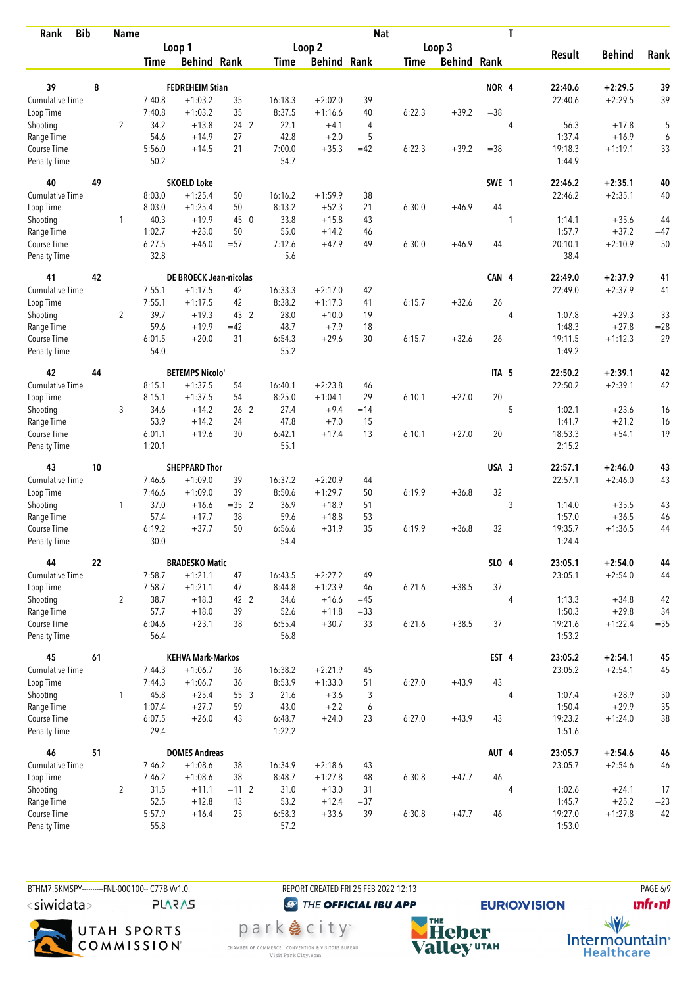| <b>Bib</b><br>Rank           | <b>Name</b> |                |                |                                   | <b>Nat</b>      |                  |                    |        |             |                    | T                |                |                    |                        |          |
|------------------------------|-------------|----------------|----------------|-----------------------------------|-----------------|------------------|--------------------|--------|-------------|--------------------|------------------|----------------|--------------------|------------------------|----------|
|                              |             |                |                | Loop 1                            |                 |                  | Loop <sub>2</sub>  |        |             | Loop 3             |                  |                |                    |                        |          |
|                              |             |                | <b>Time</b>    | <b>Behind Rank</b>                |                 | <b>Time</b>      | <b>Behind Rank</b> |        | <b>Time</b> | <b>Behind Rank</b> |                  |                | <b>Result</b>      | <b>Behind</b>          | Rank     |
|                              |             |                |                |                                   |                 |                  |                    |        |             |                    |                  |                |                    |                        |          |
| 39                           | 8           |                |                | <b>FEDREHEIM Stian</b>            |                 |                  |                    |        |             |                    | NOR <sub>4</sub> |                | 22:40.6            | $+2:29.5$              | 39       |
| Cumulative Time              |             |                | 7:40.8         | $+1:03.2$                         | 35              | 16:18.3          | $+2:02.0$          | 39     |             |                    |                  |                | 22:40.6            | $+2:29.5$              | 39       |
| Loop Time                    |             |                | 7:40.8         | $+1:03.2$                         | 35              | 8:37.5           | $+1:16.6$          | 40     | 6:22.3      | $+39.2$            | $= 38$           |                |                    |                        |          |
| Shooting                     |             | $\overline{2}$ | 34.2           | $+13.8$<br>$+14.9$                | 24 2<br>27      | 22.1<br>42.8     | $+4.1$<br>$+2.0$   | 4<br>5 |             |                    |                  | 4              | 56.3<br>1:37.4     | $+17.8$<br>$+16.9$     | 5        |
| Range Time<br>Course Time    |             |                | 54.6<br>5:56.0 | $+14.5$                           | 21              | 7:00.0           | $+35.3$            | $=42$  | 6:22.3      | $+39.2$            | $= 38$           |                | 19:18.3            | $+1:19.1$              | 6<br>33  |
| <b>Penalty Time</b>          |             |                | 50.2           |                                   |                 | 54.7             |                    |        |             |                    |                  |                | 1:44.9             |                        |          |
| 40                           | 49          |                |                | <b>SKOELD Loke</b>                |                 |                  |                    |        |             |                    | SWE 1            |                | 22:46.2            | $+2:35.1$              | 40       |
| Cumulative Time              |             |                | 8:03.0         | $+1:25.4$                         | 50              | 16:16.2          | $+1:59.9$          | 38     |             |                    |                  |                | 22:46.2            | $+2:35.1$              | 40       |
| Loop Time                    |             |                | 8:03.0         | $+1:25.4$                         | 50              | 8:13.2           | $+52.3$            | 21     | 6:30.0      | $+46.9$            | 44               |                |                    |                        |          |
| Shooting                     |             | 1              | 40.3           | $+19.9$                           | 45 0            | 33.8             | $+15.8$            | 43     |             |                    |                  | 1              | 1:14.1             | $+35.6$                | 44       |
| Range Time                   |             |                | 1:02.7         | $+23.0$                           | 50              | 55.0             | $+14.2$            | 46     |             |                    |                  |                | 1:57.7             | $+37.2$                | $=47$    |
| Course Time                  |             |                | 6:27.5         | $+46.0$                           | $= 57$          | 7:12.6           | $+47.9$            | 49     | 6:30.0      | $+46.9$            | 44               |                | 20:10.1            | $+2:10.9$              | 50       |
| <b>Penalty Time</b>          |             |                | 32.8           |                                   |                 | 5.6              |                    |        |             |                    |                  |                | 38.4               |                        |          |
| 41                           | 42          |                |                | <b>DE BROECK Jean-nicolas</b>     |                 |                  |                    |        |             |                    | CAN 4            |                | 22:49.0            | $+2:37.9$              | 41       |
| <b>Cumulative Time</b>       |             |                | 7:55.1         | $+1:17.5$                         | 42              | 16:33.3          | $+2:17.0$          | 42     |             |                    |                  |                | 22:49.0            | $+2:37.9$              | 41       |
| Loop Time                    |             |                | 7:55.1         | $+1:17.5$                         | 42              | 8:38.2           | $+1:17.3$          | 41     | 6:15.7      | $+32.6$            | 26               |                |                    |                        |          |
| Shooting                     |             | $\overline{2}$ | 39.7           | $+19.3$                           | 43 2            | 28.0             | $+10.0$            | 19     |             |                    |                  | 4              | 1:07.8             | $+29.3$                | 33       |
| Range Time                   |             |                | 59.6           | $+19.9$                           | $=42$           | 48.7             | $+7.9$             | 18     |             |                    |                  |                | 1:48.3             | $+27.8$                | $= 28$   |
| Course Time                  |             |                | 6:01.5         | $+20.0$                           | 31              | 6:54.3           | $+29.6$            | 30     | 6:15.7      | $+32.6$            | 26               |                | 19:11.5            | $+1:12.3$              | 29       |
| <b>Penalty Time</b>          |             |                | 54.0           |                                   |                 | 55.2             |                    |        |             |                    |                  |                | 1:49.2             |                        |          |
| 42                           | 44          |                |                | <b>BETEMPS Nicolo'</b>            |                 |                  |                    |        |             |                    | ITA <sub>5</sub> |                | 22:50.2            | $+2:39.1$              | 42       |
| Cumulative Time              |             |                | 8:15.1         | $+1:37.5$                         | 54              | 16:40.1          | $+2:23.8$          | 46     |             |                    |                  |                | 22:50.2            | $+2:39.1$              | 42       |
| Loop Time                    |             |                | 8:15.1         | $+1:37.5$                         | 54              | 8:25.0           | $+1:04.1$          | 29     | 6:10.1      | $+27.0$            | 20               |                |                    |                        |          |
| Shooting                     |             | 3              | 34.6           | $+14.2$                           | 26 <sub>2</sub> | 27.4             | $+9.4$             | $=14$  |             |                    |                  | 5              | 1:02.1             | $+23.6$                | 16       |
| Range Time                   |             |                | 53.9           | $+14.2$                           | 24              | 47.8             | $+7.0$             | 15     |             |                    |                  |                | 1:41.7             | $+21.2$                | 16       |
| Course Time                  |             |                | 6:01.1         | $+19.6$                           | 30              | 6:42.1           | $+17.4$            | 13     | 6:10.1      | $+27.0$            | 20               |                | 18:53.3            | $+54.1$                | 19       |
| <b>Penalty Time</b>          |             |                | 1:20.1         |                                   |                 | 55.1             |                    |        |             |                    |                  |                | 2:15.2             |                        |          |
| 43                           | 10          |                |                | <b>SHEPPARD Thor</b>              |                 |                  |                    |        |             |                    | USA 3            |                | 22:57.1            | $+2:46.0$              | 43       |
| Cumulative Time              |             |                | 7:46.6         | $+1:09.0$                         | 39              | 16:37.2          | $+2:20.9$          | 44     |             |                    |                  |                | 22:57.1            | $+2:46.0$              | 43       |
| Loop Time                    |             |                | 7:46.6         | $+1:09.0$                         | 39              | 8:50.6           | $+1:29.7$          | 50     | 6:19.9      | $+36.8$            | 32               |                |                    |                        |          |
| Shooting                     |             | $\mathbf{1}$   | 37.0           | $+16.6$                           | $=35$ 2         | 36.9             | $+18.9$            | 51     |             |                    |                  | 3              | 1:14.0             | $+35.5$                | 43       |
| Range Time                   |             |                | 57.4           | $+17.7$                           | 38              | 59.6             | $+18.8$            | 53     |             |                    |                  |                | 1:57.0             | $+36.5$                | 46       |
| Course Time                  |             |                | 6:19.2         | $+37.7$                           | 50              | 6:56.6           | $+31.9$            | 35     | 6:19.9      | $+36.8$            | 32               |                | 19:35.7            | $+1:36.5$              | 44       |
| <b>Penalty Time</b>          |             |                | 30.0           |                                   |                 | 54.4             |                    |        |             |                    |                  |                | 1:24.4             |                        |          |
| 44                           | 22          |                |                | <b>BRADESKO Matic</b>             |                 |                  |                    |        |             |                    | SLO 4            |                | 23:05.1            | $+2:54.0$              | 44       |
| <b>Cumulative Time</b>       |             |                | 7:58.7         | $+1:21.1$                         | 47              | 16:43.5          | $+2:27.2$          | 49     |             |                    |                  |                | 23:05.1            | $+2:54.0$              | 44       |
| Loop Time                    |             |                | 7:58.7         | $+1:21.1$                         | 47              | 8:44.8           | $+1:23.9$          | 46     | 6:21.6      | $+38.5$            | 37               |                |                    |                        |          |
| Shooting                     |             | $\overline{2}$ | 38.7           | $+18.3$                           | 42 2            | 34.6             | $+16.6$            | $=45$  |             |                    |                  | 4              | 1:13.3             | $+34.8$                | 42       |
| Range Time                   |             |                | 57.7           | $+18.0$                           | 39              | 52.6             | $+11.8$            | $= 33$ |             |                    |                  |                | 1:50.3             | $+29.8$                | 34       |
| Course Time<br>Penalty Time  |             |                | 6:04.6<br>56.4 | $+23.1$                           | 38              | 6:55.4<br>56.8   | $+30.7$            | 33     | 6:21.6      | $+38.5$            | 37               |                | 19:21.6<br>1:53.2  | $+1:22.4$              | $= 35$   |
|                              |             |                |                |                                   |                 |                  |                    |        |             |                    |                  |                |                    |                        |          |
| 45                           | 61          |                |                | <b>KEHVA Mark-Markos</b>          |                 |                  |                    |        |             |                    | EST 4            |                | 23:05.2            | $+2:54.1$              | 45       |
| Cumulative Time              |             |                | 7:44.3         | $+1:06.7$                         | 36              | 16:38.2          | $+2:21.9$          | 45     |             |                    |                  |                | 23:05.2            | $+2:54.1$              | 45       |
| Loop Time                    |             |                | 7:44.3         | $+1:06.7$                         | 36              | 8:53.9           | $+1:33.0$          | 51     | 6:27.0      | $+43.9$            | 43               |                |                    |                        |          |
| Shooting                     |             | $\mathbf{1}$   | 45.8           | $+25.4$                           | 55 3            | 21.6             | $+3.6$             | 3      |             |                    |                  | 4              | 1:07.4             | $+28.9$                | 30       |
| Range Time                   |             |                | 1:07.4         | $+27.7$                           | 59              | 43.0             | $+2.2$             | 6      |             |                    |                  |                | 1:50.4             | $+29.9$                | 35       |
| Course Time<br>Penalty Time  |             |                | 6:07.5<br>29.4 | $+26.0$                           | 43              | 6:48.7<br>1:22.2 | $+24.0$            | 23     | 6:27.0      | $+43.9$            | 43               |                | 19:23.2<br>1:51.6  | $+1:24.0$              | $38\,$   |
|                              |             |                |                |                                   |                 |                  |                    |        |             |                    |                  |                |                    |                        |          |
| 46<br><b>Cumulative Time</b> | 51          |                | 7:46.2         | <b>DOMES Andreas</b><br>$+1:08.6$ | 38              | 16:34.9          | $+2:18.6$          | 43     |             |                    | AUT 4            |                | 23:05.7<br>23:05.7 | $+2:54.6$<br>$+2:54.6$ | 46<br>46 |
| Loop Time                    |             |                | 7:46.2         | $+1:08.6$                         | 38              | 8:48.7           | $+1:27.8$          | 48     | 6:30.8      | $+47.7$            | 46               |                |                    |                        |          |
| Shooting                     |             | $\overline{2}$ | 31.5           | $+11.1$                           | $= 112$         | 31.0             | $+13.0$            | 31     |             |                    |                  | $\overline{4}$ | 1:02.6             | $+24.1$                | 17       |
| Range Time                   |             |                | 52.5           | $+12.8$                           | 13              | 53.2             | $+12.4$            | $= 37$ |             |                    |                  |                | 1:45.7             | $+25.2$                | $= 23$   |
| Course Time                  |             |                | 5:57.9         | $+16.4$                           | 25              | 6:58.3           | $+33.6$            | 39     | 6:30.8      | $+47.7$            | 46               |                | 19:27.0            | $+1:27.8$              | 42       |
| Penalty Time                 |             |                | 55.8           |                                   |                 | 57.2             |                    |        |             |                    |                  |                | 1:53.0             |                        |          |

BTHM7.5KMSPY----------FNL-000100-- C77B Vv1.0. <siwidata>

**PLARAS** 



REPORT CREATED FRI 25 FEB 2022 12:13

park e city<sup>®</sup>

CHAMBER OF COMMERCE | CONVENTION & VISITORS BUREAU<br>Visit Park City.com

<sup><sup>3</sup>THE OFFICIAL IBU APP</sup>

**EURIO)VISION** 

**PAGE 6/9** 



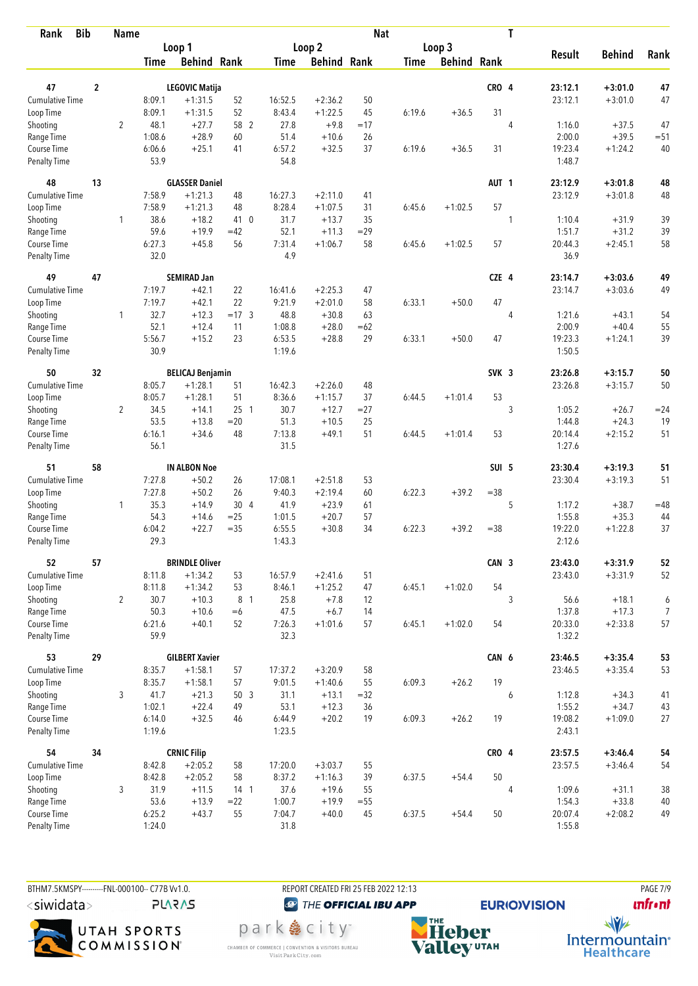| <b>Bib</b><br>Rank                 | <b>Name</b>    |                |                |                         | T<br><b>Nat</b> |                |                    |        |             |                    |                  |   |                   |               |                |
|------------------------------------|----------------|----------------|----------------|-------------------------|-----------------|----------------|--------------------|--------|-------------|--------------------|------------------|---|-------------------|---------------|----------------|
|                                    |                |                |                | Loop 1                  |                 |                | Loop <sub>2</sub>  |        |             | Loop 3             |                  |   |                   |               |                |
|                                    |                |                | <b>Time</b>    | <b>Behind Rank</b>      |                 | Time           | <b>Behind Rank</b> |        | <b>Time</b> | <b>Behind Rank</b> |                  |   | <b>Result</b>     | <b>Behind</b> | Rank           |
|                                    |                |                |                |                         |                 |                |                    |        |             |                    |                  |   |                   |               |                |
| 47                                 | $\overline{2}$ |                |                | <b>LEGOVIC Matija</b>   |                 |                |                    |        |             |                    | CRO 4            |   | 23:12.1           | $+3:01.0$     | 47             |
| Cumulative Time                    |                |                | 8:09.1         | $+1:31.5$               | 52              | 16:52.5        | $+2:36.2$          | 50     |             |                    |                  |   | 23:12.1           | $+3:01.0$     | 47             |
| Loop Time                          |                |                | 8:09.1         | $+1:31.5$               | 52              | 8:43.4         | $+1:22.5$          | 45     | 6:19.6      | $+36.5$            | 31               |   |                   |               |                |
| Shooting                           |                | $\overline{2}$ | 48.1           | $+27.7$                 | 58 2            | 27.8           | $+9.8$             | $=17$  |             |                    |                  | 4 | 1:16.0            | $+37.5$       | 47             |
| Range Time                         |                |                | 1:08.6         | $+28.9$                 | 60              | 51.4           | $+10.6$            | 26     |             |                    |                  |   | 2:00.0            | $+39.5$       | $= 51$         |
| Course Time<br><b>Penalty Time</b> |                |                | 6:06.6<br>53.9 | $+25.1$                 | 41              | 6:57.2<br>54.8 | $+32.5$            | 37     | 6:19.6      | $+36.5$            | 31               |   | 19:23.4<br>1:48.7 | $+1:24.2$     | 40             |
| 48                                 | 13             |                |                | <b>GLASSER Daniel</b>   |                 |                |                    |        |             |                    | AUT <sub>1</sub> |   | 23:12.9           | $+3:01.8$     | 48             |
| Cumulative Time                    |                |                | 7:58.9         | $+1:21.3$               | 48              | 16:27.3        | $+2:11.0$          | 41     |             |                    |                  |   | 23:12.9           | $+3:01.8$     | 48             |
| Loop Time                          |                |                | 7:58.9         | $+1:21.3$               | 48              | 8:28.4         | $+1:07.5$          | 31     | 6:45.6      | $+1:02.5$          | 57               |   |                   |               |                |
| Shooting                           |                | 1              | 38.6           | $+18.2$                 | 41 0            | 31.7           | $+13.7$            | 35     |             |                    |                  | 1 | 1:10.4            | $+31.9$       | 39             |
| Range Time                         |                |                | 59.6           | $+19.9$                 | $=42$           | 52.1           | $+11.3$            | $=29$  |             |                    |                  |   | 1:51.7            | $+31.2$       | 39             |
| Course Time                        |                |                | 6:27.3         | $+45.8$                 | 56              | 7:31.4         | $+1:06.7$          | 58     | 6:45.6      | $+1:02.5$          | 57               |   | 20:44.3           | $+2:45.1$     | 58             |
| <b>Penalty Time</b>                |                |                | 32.0           |                         |                 | 4.9            |                    |        |             |                    |                  |   | 36.9              |               |                |
| 49                                 | 47             |                |                | <b>SEMIRAD Jan</b>      |                 |                |                    |        |             |                    | CZE 4            |   | 23:14.7           | $+3:03.6$     | 49             |
| Cumulative Time                    |                |                | 7:19.7         | $+42.1$                 | 22              | 16:41.6        | $+2:25.3$          | 47     |             |                    |                  |   | 23:14.7           | $+3:03.6$     | 49             |
| Loop Time                          |                |                | 7:19.7         | $+42.1$                 | 22              | 9:21.9         | $+2:01.0$          | 58     | 6:33.1      | $+50.0$            | 47               |   |                   |               |                |
| Shooting                           |                | $\mathbf{1}$   | 32.7           | $+12.3$                 | $=17.3$         | 48.8           | $+30.8$            | 63     |             |                    |                  | 4 | 1:21.6            | $+43.1$       | 54             |
| Range Time                         |                |                | 52.1           | $+12.4$                 | 11              | 1:08.8         | $+28.0$            | $=62$  |             |                    |                  |   | 2:00.9            | $+40.4$       | 55             |
| Course Time                        |                |                | 5:56.7         | $+15.2$                 | 23              | 6:53.5         | $+28.8$            | 29     | 6:33.1      | $+50.0$            | 47               |   | 19:23.3           | $+1:24.1$     | 39             |
| <b>Penalty Time</b>                |                |                | 30.9           |                         |                 | 1:19.6         |                    |        |             |                    |                  |   | 1:50.5            |               |                |
| 50                                 | 32             |                |                | <b>BELICAJ Benjamin</b> |                 |                |                    |        |             |                    | SVK <sub>3</sub> |   | 23:26.8           | $+3:15.7$     | 50             |
| Cumulative Time                    |                |                | 8:05.7         | $+1:28.1$               | 51              | 16:42.3        | $+2:26.0$          | 48     |             |                    |                  |   | 23:26.8           | $+3:15.7$     | 50             |
| Loop Time                          |                |                | 8:05.7         | $+1:28.1$               | 51              | 8:36.6         | $+1:15.7$          | 37     | 6:44.5      | $+1:01.4$          | 53               |   |                   |               |                |
| Shooting                           |                | $\overline{2}$ | 34.5           | $+14.1$                 | 25 <sub>1</sub> | 30.7           | $+12.7$            | $= 27$ |             |                    |                  | 3 | 1:05.2            | $+26.7$       | $= 24$         |
| Range Time                         |                |                | 53.5           | $+13.8$                 | $=20$           | 51.3           | $+10.5$            | 25     |             |                    |                  |   | 1:44.8            | $+24.3$       | 19             |
| Course Time                        |                |                | 6:16.1         | $+34.6$                 | 48              | 7:13.8         | $+49.1$            | 51     | 6:44.5      | $+1:01.4$          | 53               |   | 20:14.4           | $+2:15.2$     | 51             |
| <b>Penalty Time</b>                |                |                | 56.1           |                         |                 | 31.5           |                    |        |             |                    |                  |   | 1:27.6            |               |                |
| 51                                 | 58             |                |                | <b>IN ALBON Noe</b>     |                 |                |                    |        |             |                    | SUI 5            |   | 23:30.4           | $+3:19.3$     | 51             |
| <b>Cumulative Time</b>             |                |                | 7:27.8         | $+50.2$                 | 26              | 17:08.1        | $+2:51.8$          | 53     |             |                    |                  |   | 23:30.4           | $+3:19.3$     | 51             |
| Loop Time                          |                |                | 7:27.8         | $+50.2$                 | 26              | 9:40.3         | $+2:19.4$          | 60     | 6:22.3      | $+39.2$            | $= 38$           |   |                   |               |                |
| Shooting                           |                | $\mathbf{1}$   | 35.3           | $+14.9$                 | 30 4            | 41.9           | $+23.9$            | 61     |             |                    |                  | 5 | 1:17.2            | $+38.7$       | $=48$          |
| Range Time                         |                |                | 54.3           | $+14.6$                 | $= 25$          | 1:01.5         | $+20.7$            | 57     |             |                    |                  |   | 1:55.8            | $+35.3$       | 44             |
| Course Time                        |                |                | 6:04.2         | $+22.7$                 | $=35$           | 6:55.5         | $+30.8$            | 34     | 6:22.3      | $+39.2$            | $= 38$           |   | 19:22.0           | $+1:22.8$     | 37             |
| <b>Penalty Time</b>                |                |                | 29.3           |                         |                 | 1:43.3         |                    |        |             |                    |                  |   | 2:12.6            |               |                |
| 52                                 | 57             |                |                | <b>BRINDLE Oliver</b>   |                 |                |                    |        |             |                    | CAN 3            |   | 23:43.0           | $+3:31.9$     | 52             |
| <b>Cumulative Time</b>             |                |                | 8:11.8         | $+1:34.2$               | 53              | 16:57.9        | $+2:41.6$          | 51     |             |                    |                  |   | 23:43.0           | $+3:31.9$     | 52             |
| Loop Time                          |                |                | 8:11.8         | $+1:34.2$               | 53              | 8:46.1         | $+1:25.2$          | 47     | 6:45.1      | $+1:02.0$          | 54               |   |                   |               |                |
| Shooting                           |                | $\overline{2}$ | 30.7           | $+10.3$                 | 8 1             | 25.8           | $+7.8$             | 12     |             |                    |                  | 3 | 56.6              | $+18.1$       | 6              |
| Range Time                         |                |                | 50.3           | $+10.6$                 | $=6$            | 47.5           | $+6.7$             | 14     |             |                    |                  |   | 1:37.8            | $+17.3$       | $\overline{7}$ |
| Course Time                        |                |                | 6:21.6         | $+40.1$                 | 52              | 7:26.3         | $+1:01.6$          | 57     | 6:45.1      | $+1:02.0$          | 54               |   | 20:33.0           | $+2:33.8$     | 57             |
| Penalty Time                       |                |                | 59.9           |                         |                 | 32.3           |                    |        |             |                    |                  |   | 1:32.2            |               |                |
| 53                                 | 29             |                |                | <b>GILBERT Xavier</b>   |                 |                |                    |        |             |                    | CAN 6            |   | 23:46.5           | $+3:35.4$     | 53             |
| <b>Cumulative Time</b>             |                |                | 8:35.7         | $+1:58.1$               | 57              | 17:37.2        | $+3:20.9$          | 58     |             |                    |                  |   | 23:46.5           | $+3:35.4$     | 53             |
| Loop Time                          |                |                | 8:35.7         | $+1:58.1$               | 57              | 9:01.5         | $+1:40.6$          | 55     | 6:09.3      | $+26.2$            | 19               |   |                   |               |                |
| Shooting                           |                | 3              | 41.7           | $+21.3$                 | 50 3            | 31.1           | $+13.1$            | $=32$  |             |                    |                  | 6 | 1:12.8            | $+34.3$       | 41             |
| Range Time                         |                |                | 1:02.1         | $+22.4$                 | 49              | 53.1           | $+12.3$            | 36     |             |                    |                  |   | 1:55.2            | $+34.7$       | 43             |
| Course Time                        |                |                | 6:14.0         | $+32.5$                 | 46              | 6:44.9         | $+20.2$            | 19     | 6:09.3      | $+26.2$            | 19               |   | 19:08.2           | $+1:09.0$     | 27             |
| Penalty Time                       |                |                | 1:19.6         |                         |                 | 1:23.5         |                    |        |             |                    |                  |   | 2:43.1            |               |                |
| 54                                 | 34             |                |                | <b>CRNIC Filip</b>      |                 |                |                    |        |             |                    | CRO 4            |   | 23:57.5           | $+3:46.4$     | 54             |
| Cumulative Time                    |                |                | 8:42.8         | $+2:05.2$               | 58              | 17:20.0        | $+3:03.7$          | 55     |             |                    |                  |   | 23:57.5           | $+3:46.4$     | 54             |
| Loop Time                          |                |                | 8:42.8         | $+2:05.2$               | 58              | 8:37.2         | $+1:16.3$          | 39     | 6:37.5      | $+54.4$            | 50               |   |                   |               |                |
| Shooting                           |                | 3              | 31.9           | $+11.5$                 | $14-1$          | 37.6           | $+19.6$            | 55     |             |                    |                  | 4 | 1:09.6            | $+31.1$       | 38             |
| Range Time                         |                |                | 53.6           | $+13.9$                 | $=22$           | 1:00.7         | $+19.9$            | $= 55$ |             |                    |                  |   | 1:54.3            | $+33.8$       | $40\,$         |
| Course Time                        |                |                | 6:25.2         | $+43.7$                 | 55              | 7:04.7         | $+40.0$            | 45     | 6:37.5      | $+54.4$            | 50               |   | 20:07.4           | $+2:08.2$     | 49             |
| Penalty Time                       |                |                | 1:24.0         |                         |                 | 31.8           |                    |        |             |                    |                  |   | 1:55.8            |               |                |

BTHM7.5KMSPY---------FNL-000100-- C77B W1.0. REPORT CREATED FRI 25 FEB 2022 12:13 PAGE 7/9  $\langle$ siwidata $\rangle$ 

**PLARAS** 



<sup><sup>3</sup>THE OFFICIAL IBU APP</sup>

park e city<sup>®</sup>

CHAMBER OF COMMERCE | CONVENTION & VISITORS BUREAU<br>Visit Park City.com

**NHE**<br>Valley<sup>utAH</sup>

**EURIO)VISION** 

**unfront** 

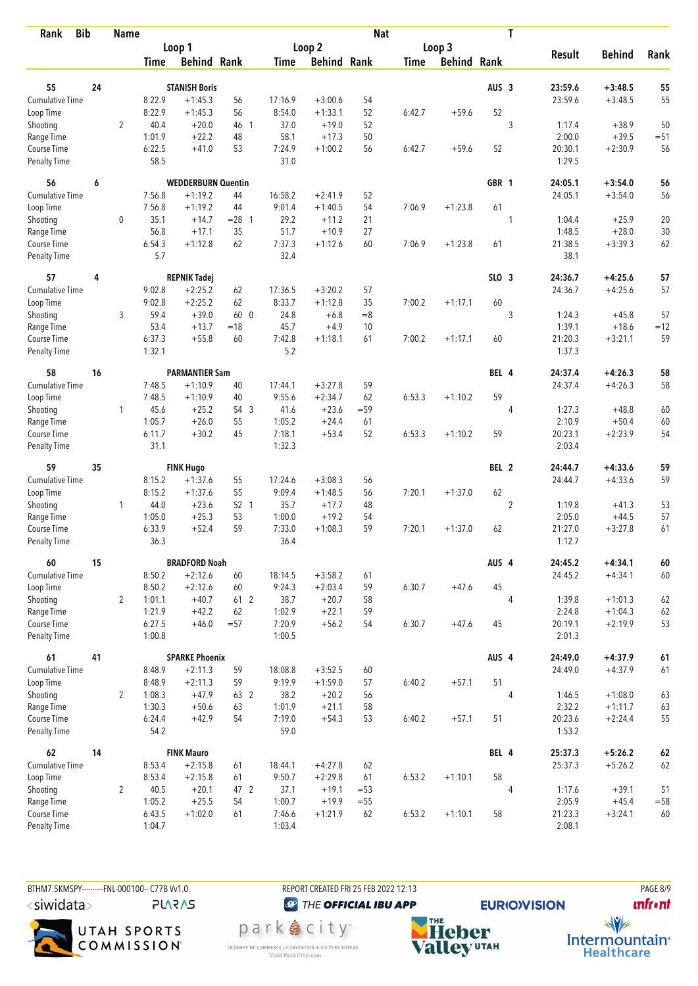| <b>Bib</b><br>Rank                 |    | <b>Name</b>    |                  |                           |          |                  |                    | <b>Nat</b> |             |                    |                  | T              |                   |               |        |
|------------------------------------|----|----------------|------------------|---------------------------|----------|------------------|--------------------|------------|-------------|--------------------|------------------|----------------|-------------------|---------------|--------|
|                                    |    |                |                  | Loop 1                    |          |                  | Loop 2             |            |             | Loop 3             |                  |                | <b>Result</b>     | <b>Behind</b> | Rank   |
|                                    |    |                | <b>Time</b>      | <b>Behind Rank</b>        |          | Time             | <b>Behind Rank</b> |            | <b>Time</b> | <b>Behind Rank</b> |                  |                |                   |               |        |
| 55                                 | 24 |                |                  | <b>STANISH Boris</b>      |          |                  |                    |            |             |                    | AUS <sub>3</sub> |                | 23:59.6           | $+3:48.5$     | 55     |
| <b>Cumulative Time</b>             |    |                | 8:22.9           | $+1:45.3$                 | 56       | 17:16.9          | $+3:00.6$          | 54         |             |                    |                  |                | 23:59.6           | $+3:48.5$     | 55     |
| Loop Time                          |    |                | 8:22.9           | $+1:45.3$                 | 56       | 8:54.0           | $+1:33.1$          | 52         | 6:42.7      | $+59.6$            | 52               |                |                   |               |        |
| Shooting                           |    | $\overline{2}$ | 40.4             | $+20.0$                   | 46 1     | 37.0             | $+19.0$            | 52         |             |                    |                  | 3              | 1:17.4            | $+38.9$       | 50     |
| Range Time                         |    |                | 1:01.9           | $+22.2$                   | 48       | 58.1             | $+17.3$            | 50         |             |                    |                  |                | 2:00.0            | $+39.5$       | $= 51$ |
| Course Time                        |    |                | 6:22.5           | $+41.0$                   | 53       | 7:24.9           | $+1:00.2$          | 56         | 6:42.7      | $+59.6$            | 52               |                | 20:30.1           | $+2:30.9$     | 56     |
| <b>Penalty Time</b>                |    |                | 58.5             |                           |          | 31.0             |                    |            |             |                    |                  |                | 1:29.5            |               |        |
| 56                                 | 6  |                |                  | <b>WEDDERBURN Quentin</b> |          |                  |                    |            |             |                    | GBR 1            |                | 24:05.1           | $+3:54.0$     | 56     |
| Cumulative Time                    |    |                | 7:56.8           | $+1:19.2$                 | 44       | 16:58.2          | $+2:41.9$          | 52         |             |                    |                  |                | 24:05.1           | $+3:54.0$     | 56     |
| Loop Time                          |    |                | 7:56.8           | $+1:19.2$                 | 44       | 9:01.4           | $+1:40.5$          | 54         | 7:06.9      | $+1:23.8$          | 61               |                |                   |               |        |
| Shooting                           |    | 0              | 35.1             | $+14.7$                   | $= 28$ 1 | 29.2             | $+11.2$            | 21         |             |                    |                  | 1              | 1:04.4            | $+25.9$       | 20     |
| Range Time                         |    |                | 56.8             | $+17.1$                   | 35       | 51.7             | $+10.9$            | 27         |             |                    |                  |                | 1:48.5            | $+28.0$       | 30     |
| Course Time                        |    |                | 6:54.3           | $+1:12.8$                 | 62       | 7:37.3           | $+1:12.6$          | 60         | 7:06.9      | $+1:23.8$          | 61               |                | 21:38.5           | $+3:39.3$     | 62     |
| <b>Penalty Time</b>                |    |                | 5.7              |                           |          | 32.4             |                    |            |             |                    |                  |                | 38.1              |               |        |
| 57                                 | 4  |                |                  | <b>REPNIK Tadej</b>       |          |                  |                    |            |             |                    | SLO <sub>3</sub> |                | 24:36.7           | $+4:25.6$     | 57     |
| <b>Cumulative Time</b>             |    |                | 9:02.8           | $+2:25.2$                 | 62       | 17:36.5          | $+3:20.2$          | 57         |             |                    |                  |                | 24:36.7           | $+4:25.6$     | 57     |
| Loop Time                          |    |                | 9:02.8           | $+2:25.2$                 | 62       | 8:33.7           | $+1:12.8$          | 35         | 7:00.2      | $+1:17.1$          | 60               |                |                   |               |        |
| Shooting                           |    | 3              | 59.4             | $+39.0$                   | 60 0     | 24.8             | $+6.8$             | $= 8$      |             |                    |                  | 3              | 1:24.3            | $+45.8$       | 57     |
| Range Time                         |    |                | 53.4             | $+13.7$                   | $=18$    | 45.7             | $+4.9$             | 10         |             |                    |                  |                | 1:39.1            | $+18.6$       | $=12$  |
| Course Time<br><b>Penalty Time</b> |    |                | 6:37.3<br>1:32.1 | $+55.8$                   | 60       | 7:42.8<br>5.2    | $+1:18.1$          | 61         | 7:00.2      | $+1:17.1$          | 60               |                | 21:20.3<br>1:37.3 | $+3:21.1$     | 59     |
| 58                                 | 16 |                |                  | <b>PARMANTIER Sam</b>     |          |                  |                    |            |             |                    | BEL 4            |                | 24:37.4           | $+4:26.3$     | 58     |
| Cumulative Time                    |    |                | 7:48.5           | $+1:10.9$                 | 40       | 17:44.1          | $+3:27.8$          | 59         |             |                    |                  |                | 24:37.4           | $+4:26.3$     | 58     |
| Loop Time                          |    |                | 7:48.5           | $+1:10.9$                 | 40       | 9:55.6           | $+2:34.7$          | 62         | 6:53.3      | $+1:10.2$          | 59               |                |                   |               |        |
| Shooting                           |    | 1              | 45.6             | $+25.2$                   | 54 3     | 41.6             | $+23.6$            | $= 59$     |             |                    |                  | 4              | 1:27.3            | $+48.8$       | 60     |
| Range Time                         |    |                | 1:05.7           | $+26.0$                   | 55       | 1:05.2           | $+24.4$            | 61         |             |                    |                  |                | 2:10.9            | $+50.4$       | 60     |
| Course Time                        |    |                | 6:11.7           | $+30.2$                   | 45       | 7:18.1           | $+53.4$            | 52         | 6:53.3      | $+1:10.2$          | 59               |                | 20:23.1           | $+2:23.9$     | 54     |
| <b>Penalty Time</b>                |    |                | 31.1             |                           |          | 1:32.3           |                    |            |             |                    |                  |                | 2:03.4            |               |        |
| 59                                 | 35 |                |                  | <b>FINK Hugo</b>          |          |                  |                    |            |             |                    | BEL 2            |                | 24:44.7           | $+4:33.6$     | 59     |
| Cumulative Time                    |    |                | 8:15.2           | $+1:37.6$                 | 55       | 17:24.6          | $+3:08.3$          | 56         |             |                    |                  |                | 24:44.7           | $+4:33.6$     | 59     |
| Loop Time                          |    |                | 8:15.2           | $+1:37.6$                 | 55       | 9:09.4           | $+1:48.5$          | 56         | 7:20.1      | $+1:37.0$          | 62               |                |                   |               |        |
| Shooting                           |    | $\mathbf{1}$   | 44.0             | $+23.6$                   | 52 1     | 35.7             | $+17.7$            | 48         |             |                    |                  | $\overline{2}$ | 1:19.8            | $+41.3$       | 53     |
| Range Time                         |    |                | 1:05.0           | $+25.3$                   | 53       | 1:00.0           | $+19.2$            | 54         |             |                    |                  |                | 2:05.0            | $+44.5$       | 57     |
| Course Time                        |    |                | 6:33.9           | $+52.4$                   | 59       | 7:33.0           | $+1:08.3$          | 59         | 7:20.1      | $+1:37.0$          | 62               |                | 21:27.0           | $+3:27.8$     | 61     |
| <b>Penalty Time</b>                |    |                | 36.3             |                           |          | 36.4             |                    |            |             |                    |                  |                | 1:12.7            |               |        |
| 60                                 | 15 |                |                  | <b>BRADFORD Noah</b>      |          |                  |                    |            |             |                    | AUS 4            |                | 24:45.2           | $+4:34.1$     | 60     |
| <b>Cumulative Time</b>             |    |                | 8:50.2           | $+2:12.6$                 | 60       | 18:14.5          | $+3:58.2$          | 61         |             |                    |                  |                | 24:45.2           | $+4:34.1$     | 60     |
| Loop Time                          |    |                | 8:50.2           | $+2:12.6$                 | 60       | 9:24.3           | $+2:03.4$          | 59         | 6:30.7      | $+47.6$            | 45               |                |                   |               |        |
| Shooting                           |    | $\overline{2}$ | 1:01.1           | $+40.7$                   | 61 2     | 38.7             | $+20.7$            | 58         |             |                    |                  | 4              | 1:39.8            | $+1:01.3$     | 62     |
| Range Time                         |    |                | 1:21.9           | $+42.2$                   | 62       | 1:02.9           | $+22.1$            | 59         |             |                    |                  |                | 2:24.8            | $+1:04.3$     | 62     |
| Course Time<br>Penalty Time        |    |                | 6:27.5<br>1:00.8 | $+46.0$                   | $= 57$   | 7:20.9<br>1:00.5 | $+56.2$            | 54         | 6:30.7      | $+47.6$            | 45               |                | 20:19.1<br>2:01.3 | $+2:19.9$     | 53     |
| 61                                 | 41 |                |                  | <b>SPARKE Phoenix</b>     |          |                  |                    |            |             |                    | AUS 4            |                | 24:49.0           | $+4:37.9$     | $61\,$ |
| <b>Cumulative Time</b>             |    |                | 8:48.9           | $+2:11.3$                 | 59       | 18:08.8          | $+3:52.5$          | 60         |             |                    |                  |                | 24:49.0           | $+4:37.9$     | 61     |
| Loop Time                          |    |                | 8:48.9           | $+2:11.3$                 | 59       | 9:19.9           | $+1:59.0$          | 57         | 6:40.2      | $+57.1$            | 51               |                |                   |               |        |
| Shooting                           |    | $\overline{2}$ | 1:08.3           | $+47.9$                   | 63 2     | 38.2             | $+20.2$            | 56         |             |                    |                  | 4              | 1:46.5            | $+1:08.0$     | 63     |
| Range Time                         |    |                | 1:30.3           | $+50.6$                   | 63       | 1:01.9           | $+21.1$            | 58         |             |                    |                  |                | 2:32.2            | $+1:11.7$     | 63     |
| Course Time                        |    |                | 6:24.4           | $+42.9$                   | 54       | 7:19.0           | $+54.3$            | 53         | 6:40.2      | $+57.1$            | 51               |                | 20:23.6           | $+2:24.4$     | 55     |
| Penalty Time                       |    |                | 54.2             |                           |          | 59.0             |                    |            |             |                    |                  |                | 1:53.2            |               |        |
| 62                                 | 14 |                |                  | <b>FINK Mauro</b>         |          |                  |                    |            |             |                    | BEL 4            |                | 25:37.3           | $+5:26.2$     | $62\,$ |
| <b>Cumulative Time</b>             |    |                | 8:53.4           | $+2:15.8$                 | 61       | 18:44.1          | $+4:27.8$          | 62         |             |                    |                  |                | 25:37.3           | $+5:26.2$     | 62     |
| Loop Time                          |    |                | 8:53.4           | $+2:15.8$                 | 61       | 9:50.7           | $+2:29.8$          | 61         | 6:53.2      | $+1:10.1$          | 58               |                |                   |               |        |
| Shooting                           |    | $\overline{2}$ | 40.5             | $+20.1$                   | 47 2     | 37.1             | $+19.1$            | $= 53$     |             |                    |                  | 4              | 1:17.6            | $+39.1$       | 51     |
| Range Time                         |    |                | 1:05.2           | $+25.5$                   | 54       | 1:00.7           | $+19.9$            | $= 55$     |             |                    |                  |                | 2:05.9            | $+45.4$       | $=58$  |
| Course Time                        |    |                | 6:43.5           | $+1:02.0$                 | 61       | 7:46.6           | $+1:21.9$          | 62         | 6:53.2      | $+1:10.1$          | 58               |                | 21:23.3           | $+3:24.1$     | 60     |
| Penalty Time                       |    |                | 1:04.7           |                           |          | 1:03.4           |                    |            |             |                    |                  |                | 2:08.1            |               |        |

BTHM7.5KMSPY---------FNL-000100-- C77B W1.0. REPORT CREATED FRI 25 FEB 2022 12:13 PAGE 8/9  $\langle$ siwidata $\rangle$ 

**PLARAS** 



park e city<sup>®</sup>

CHAMBER OF COMMERCE | CONVENTION & VISITORS BUREAU<br>Visit Park City.com

<sup><sup>3</sup>THE OFFICIAL IBU APP</sup>

**EURIO)VISION** 

**unfront**